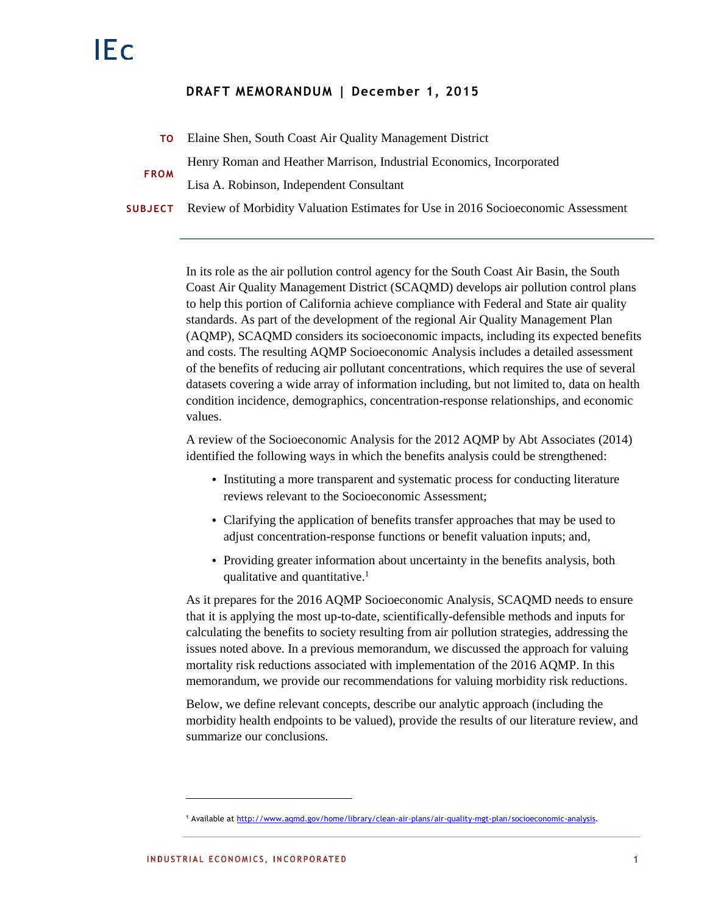# **DRAFT MEMORANDUM | December 1, 2015**

- **TO** Elaine Shen, South Coast Air Quality Management District **FROM** Henry Roman and Heather Marrison, Industrial Economics, Incorporated Lisa A. Robinson, Independent Consultant
- **SUBJECT** Review of Morbidity Valuation Estimates for Use in 2016 Socioeconomic Assessment

In its role as the air pollution control agency for the South Coast Air Basin, the South Coast Air Quality Management District (SCAQMD) develops air pollution control plans to help this portion of California achieve compliance with Federal and State air quality standards. As part of the development of the regional Air Quality Management Plan (AQMP), SCAQMD considers its socioeconomic impacts, including its expected benefits and costs. The resulting AQMP Socioeconomic Analysis includes a detailed assessment of the benefits of reducing air pollutant concentrations, which requires the use of several datasets covering a wide array of information including, but not limited to, data on health condition incidence, demographics, concentration-response relationships, and economic values.

A review of the Socioeconomic Analysis for the 2012 AQMP by Abt Associates (2014) identified the following ways in which the benefits analysis could be strengthened:

- Instituting a more transparent and systematic process for conducting literature reviews relevant to the Socioeconomic Assessment;
- Clarifying the application of benefits transfer approaches that may be used to adjust concentration-response functions or benefit valuation inputs; and,
- Providing greater information about uncertainty in the benefits analysis, both qualitative and quantitative.<sup>1</sup>

As it prepares for the 2016 AQMP Socioeconomic Analysis, SCAQMD needs to ensure that it is applying the most up-to-date, scientifically-defensible methods and inputs for calculating the benefits to society resulting from air pollution strategies, addressing the issues noted above. In a previous memorandum, we discussed the approach for valuing mortality risk reductions associated with implementation of the 2016 AQMP. In this memorandum, we provide our recommendations for valuing morbidity risk reductions.

Below, we define relevant concepts, describe our analytic approach (including the morbidity health endpoints to be valued), provide the results of our literature review, and summarize our conclusions.

<sup>&</sup>lt;sup>1</sup> Available a[t http://www.aqmd.gov/home/library/clean-air-plans/air-quality-mgt-plan/socioeconomic-analysis.](http://www.aqmd.gov/home/library/clean-air-plans/air-quality-mgt-plan/socioeconomic-analysis)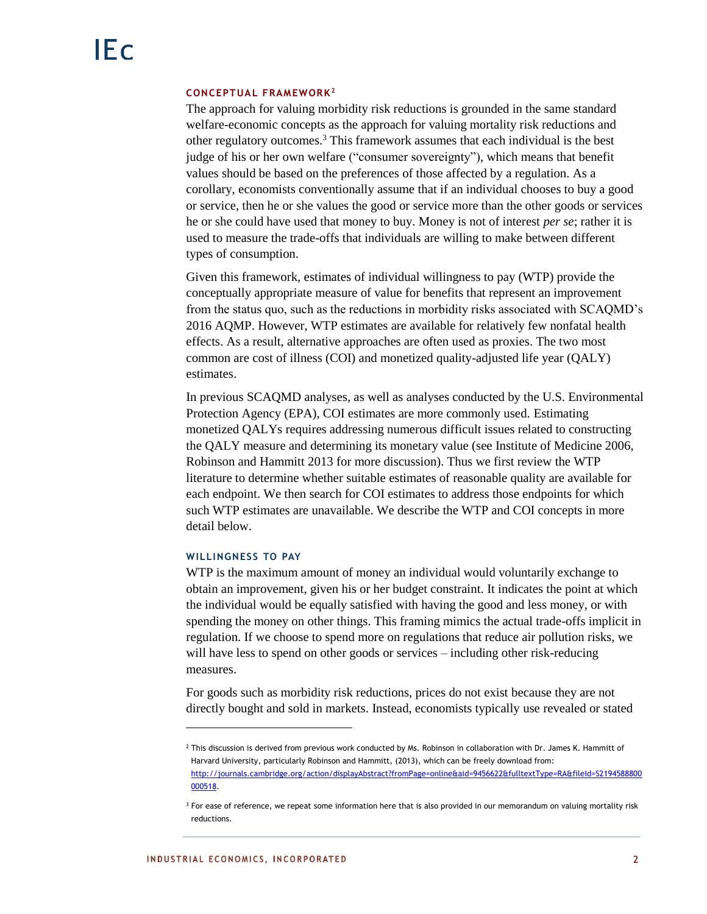#### **CONCEPTUAL FRAMEWORK<sup>2</sup>**

The approach for valuing morbidity risk reductions is grounded in the same standard welfare-economic concepts as the approach for valuing mortality risk reductions and other regulatory outcomes.<sup>3</sup> This framework assumes that each individual is the best judge of his or her own welfare ("consumer sovereignty"), which means that benefit values should be based on the preferences of those affected by a regulation. As a corollary, economists conventionally assume that if an individual chooses to buy a good or service, then he or she values the good or service more than the other goods or services he or she could have used that money to buy. Money is not of interest *per se*; rather it is used to measure the trade-offs that individuals are willing to make between different types of consumption.

Given this framework, estimates of individual willingness to pay (WTP) provide the conceptually appropriate measure of value for benefits that represent an improvement from the status quo, such as the reductions in morbidity risks associated with SCAQMD's 2016 AQMP. However, WTP estimates are available for relatively few nonfatal health effects. As a result, alternative approaches are often used as proxies. The two most common are cost of illness (COI) and monetized quality-adjusted life year (QALY) estimates.

In previous SCAQMD analyses, as well as analyses conducted by the U.S. Environmental Protection Agency (EPA), COI estimates are more commonly used. Estimating monetized QALYs requires addressing numerous difficult issues related to constructing the QALY measure and determining its monetary value (see Institute of Medicine 2006, Robinson and Hammitt 2013 for more discussion). Thus we first review the WTP literature to determine whether suitable estimates of reasonable quality are available for each endpoint. We then search for COI estimates to address those endpoints for which such WTP estimates are unavailable. We describe the WTP and COI concepts in more detail below.

#### **WILLINGNESS TO PAY**

WTP is the maximum amount of money an individual would voluntarily exchange to obtain an improvement, given his or her budget constraint. It indicates the point at which the individual would be equally satisfied with having the good and less money, or with spending the money on other things. This framing mimics the actual trade-offs implicit in regulation. If we choose to spend more on regulations that reduce air pollution risks, we will have less to spend on other goods or services – including other risk-reducing measures.

For goods such as morbidity risk reductions, prices do not exist because they are not directly bought and sold in markets. Instead, economists typically use revealed or stated

<sup>&</sup>lt;sup>2</sup> This discussion is derived from previous work conducted by Ms. Robinson in collaboration with Dr. James K. Hammitt of Harvard University, particularly Robinson and Hammitt, (2013), which can be freely download from: [http://journals.cambridge.org/action/displayAbstract?fromPage=online&aid=9456622&fulltextType=RA&fileId=S2194588800](http://journals.cambridge.org/action/displayAbstract?fromPage=online&aid=9456622&fulltextType=RA&fileId=S2194588800000518) [000518.](http://journals.cambridge.org/action/displayAbstract?fromPage=online&aid=9456622&fulltextType=RA&fileId=S2194588800000518)

<sup>&</sup>lt;sup>3</sup> For ease of reference, we repeat some information here that is also provided in our memorandum on valuing mortality risk reductions.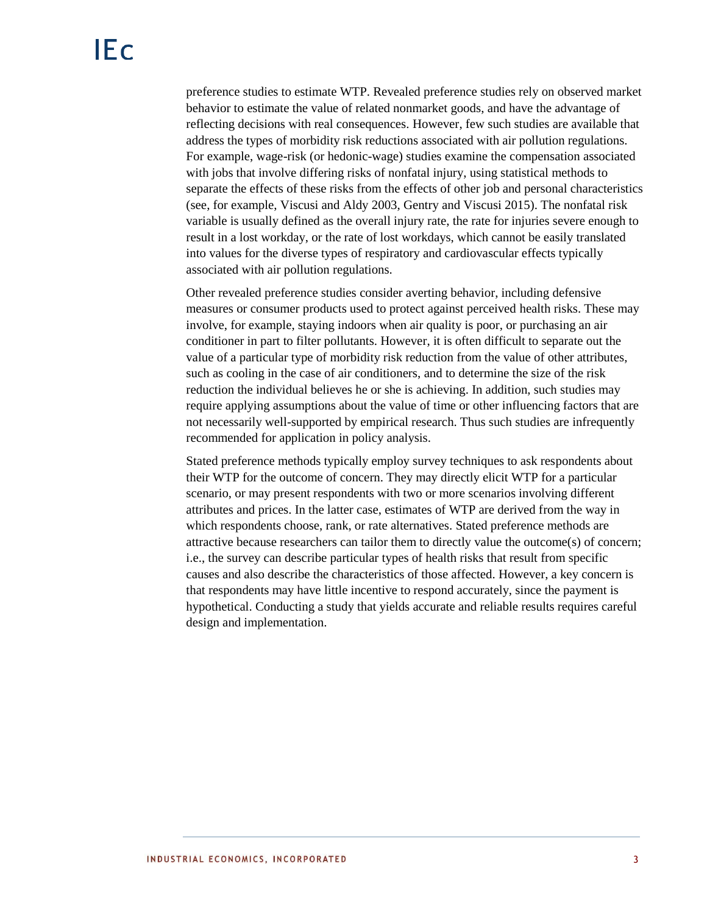preference studies to estimate WTP. Revealed preference studies rely on observed market behavior to estimate the value of related nonmarket goods, and have the advantage of reflecting decisions with real consequences. However, few such studies are available that address the types of morbidity risk reductions associated with air pollution regulations. For example, wage-risk (or hedonic-wage) studies examine the compensation associated with jobs that involve differing risks of nonfatal injury, using statistical methods to separate the effects of these risks from the effects of other job and personal characteristics (see, for example, Viscusi and Aldy 2003, Gentry and Viscusi 2015). The nonfatal risk variable is usually defined as the overall injury rate, the rate for injuries severe enough to result in a lost workday, or the rate of lost workdays, which cannot be easily translated into values for the diverse types of respiratory and cardiovascular effects typically associated with air pollution regulations.

Other revealed preference studies consider averting behavior, including defensive measures or consumer products used to protect against perceived health risks. These may involve, for example, staying indoors when air quality is poor, or purchasing an air conditioner in part to filter pollutants. However, it is often difficult to separate out the value of a particular type of morbidity risk reduction from the value of other attributes, such as cooling in the case of air conditioners, and to determine the size of the risk reduction the individual believes he or she is achieving. In addition, such studies may require applying assumptions about the value of time or other influencing factors that are not necessarily well-supported by empirical research. Thus such studies are infrequently recommended for application in policy analysis.

Stated preference methods typically employ survey techniques to ask respondents about their WTP for the outcome of concern. They may directly elicit WTP for a particular scenario, or may present respondents with two or more scenarios involving different attributes and prices. In the latter case, estimates of WTP are derived from the way in which respondents choose, rank, or rate alternatives. Stated preference methods are attractive because researchers can tailor them to directly value the outcome(s) of concern; i.e., the survey can describe particular types of health risks that result from specific causes and also describe the characteristics of those affected. However, a key concern is that respondents may have little incentive to respond accurately, since the payment is hypothetical. Conducting a study that yields accurate and reliable results requires careful design and implementation.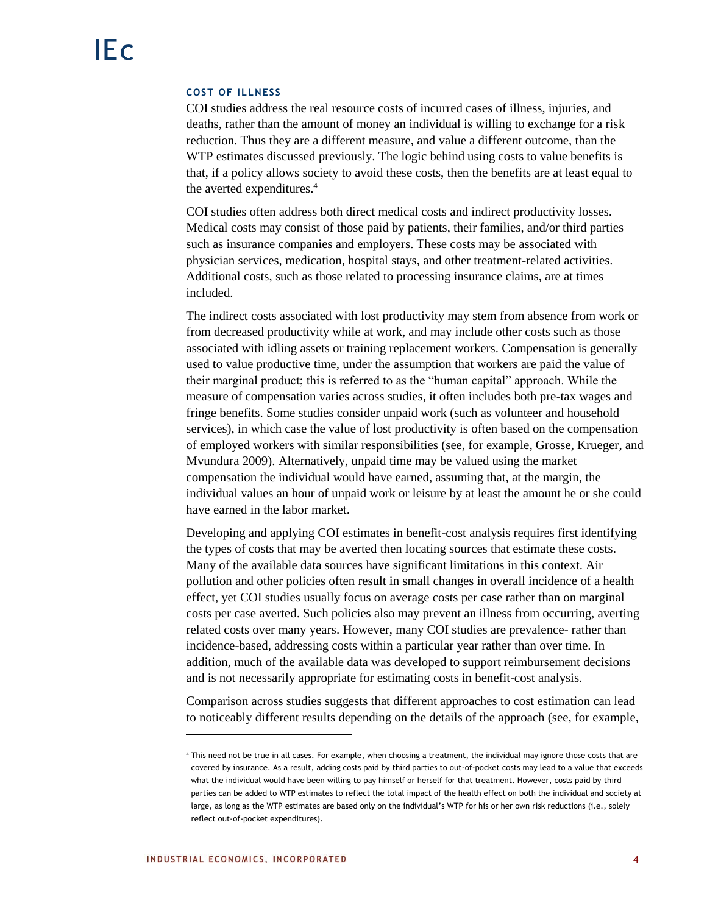## **COST OF ILLNESS**

COI studies address the real resource costs of incurred cases of illness, injuries, and deaths, rather than the amount of money an individual is willing to exchange for a risk reduction. Thus they are a different measure, and value a different outcome, than the WTP estimates discussed previously. The logic behind using costs to value benefits is that, if a policy allows society to avoid these costs, then the benefits are at least equal to the averted expenditures.<sup>4</sup>

COI studies often address both direct medical costs and indirect productivity losses. Medical costs may consist of those paid by patients, their families, and/or third parties such as insurance companies and employers. These costs may be associated with physician services, medication, hospital stays, and other treatment-related activities. Additional costs, such as those related to processing insurance claims, are at times included.

The indirect costs associated with lost productivity may stem from absence from work or from decreased productivity while at work, and may include other costs such as those associated with idling assets or training replacement workers. Compensation is generally used to value productive time, under the assumption that workers are paid the value of their marginal product; this is referred to as the "human capital" approach. While the measure of compensation varies across studies, it often includes both pre-tax wages and fringe benefits. Some studies consider unpaid work (such as volunteer and household services), in which case the value of lost productivity is often based on the compensation of employed workers with similar responsibilities (see, for example, Grosse, Krueger, and Mvundura 2009). Alternatively, unpaid time may be valued using the market compensation the individual would have earned, assuming that, at the margin, the individual values an hour of unpaid work or leisure by at least the amount he or she could have earned in the labor market.

Developing and applying COI estimates in benefit-cost analysis requires first identifying the types of costs that may be averted then locating sources that estimate these costs. Many of the available data sources have significant limitations in this context. Air pollution and other policies often result in small changes in overall incidence of a health effect, yet COI studies usually focus on average costs per case rather than on marginal costs per case averted. Such policies also may prevent an illness from occurring, averting related costs over many years. However, many COI studies are prevalence- rather than incidence-based, addressing costs within a particular year rather than over time. In addition, much of the available data was developed to support reimbursement decisions and is not necessarily appropriate for estimating costs in benefit-cost analysis.

Comparison across studies suggests that different approaches to cost estimation can lead to noticeably different results depending on the details of the approach (see, for example,

<sup>4</sup> This need not be true in all cases. For example, when choosing a treatment, the individual may ignore those costs that are covered by insurance. As a result, adding costs paid by third parties to out-of-pocket costs may lead to a value that exceeds what the individual would have been willing to pay himself or herself for that treatment. However, costs paid by third parties can be added to WTP estimates to reflect the total impact of the health effect on both the individual and society at large, as long as the WTP estimates are based only on the individual's WTP for his or her own risk reductions (i.e., solely reflect out-of-pocket expenditures).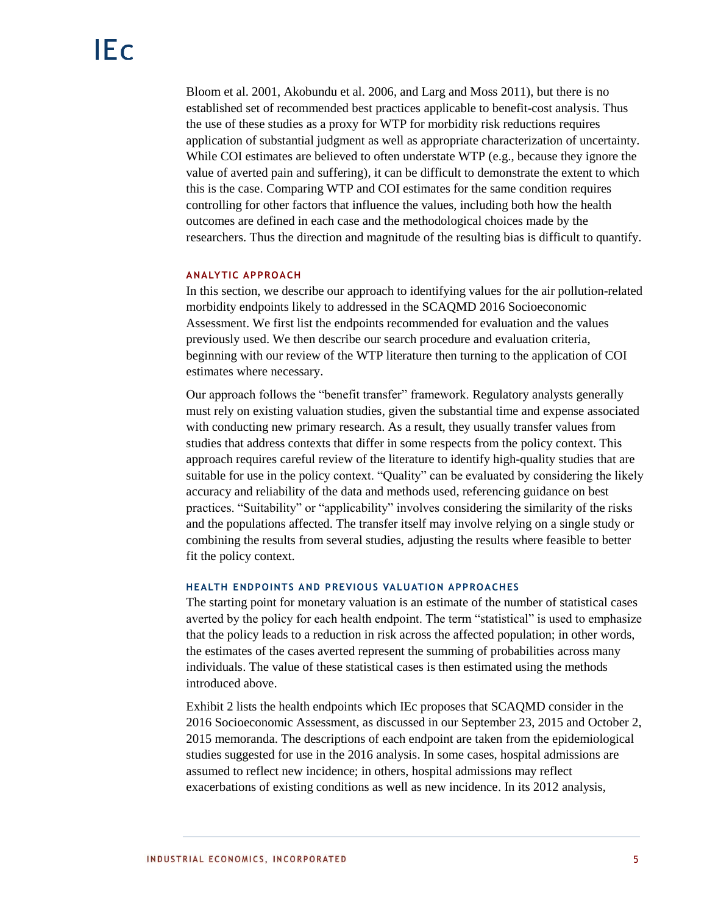Bloom et al. 2001, Akobundu et al. 2006, and Larg and Moss 2011), but there is no established set of recommended best practices applicable to benefit-cost analysis. Thus the use of these studies as a proxy for WTP for morbidity risk reductions requires application of substantial judgment as well as appropriate characterization of uncertainty. While COI estimates are believed to often understate WTP (e.g., because they ignore the value of averted pain and suffering), it can be difficult to demonstrate the extent to which this is the case. Comparing WTP and COI estimates for the same condition requires controlling for other factors that influence the values, including both how the health outcomes are defined in each case and the methodological choices made by the researchers. Thus the direction and magnitude of the resulting bias is difficult to quantify.

## **ANALYTIC APPROACH**

In this section, we describe our approach to identifying values for the air pollution-related morbidity endpoints likely to addressed in the SCAQMD 2016 Socioeconomic Assessment. We first list the endpoints recommended for evaluation and the values previously used. We then describe our search procedure and evaluation criteria, beginning with our review of the WTP literature then turning to the application of COI estimates where necessary.

Our approach follows the "benefit transfer" framework. Regulatory analysts generally must rely on existing valuation studies, given the substantial time and expense associated with conducting new primary research. As a result, they usually transfer values from studies that address contexts that differ in some respects from the policy context. This approach requires careful review of the literature to identify high-quality studies that are suitable for use in the policy context. "Quality" can be evaluated by considering the likely accuracy and reliability of the data and methods used, referencing guidance on best practices. "Suitability" or "applicability" involves considering the similarity of the risks and the populations affected. The transfer itself may involve relying on a single study or combining the results from several studies, adjusting the results where feasible to better fit the policy context.

## **HEALTH ENDPOINTS AND PREVIOUS VALUATION APPROACHES**

The starting point for monetary valuation is an estimate of the number of statistical cases averted by the policy for each health endpoint. The term "statistical" is used to emphasize that the policy leads to a reduction in risk across the affected population; in other words, the estimates of the cases averted represent the summing of probabilities across many individuals. The value of these statistical cases is then estimated using the methods introduced above.

Exhibit 2 lists the health endpoints which IEc proposes that SCAQMD consider in the 2016 Socioeconomic Assessment, as discussed in our September 23, 2015 and October 2, 2015 memoranda. The descriptions of each endpoint are taken from the epidemiological studies suggested for use in the 2016 analysis. In some cases, hospital admissions are assumed to reflect new incidence; in others, hospital admissions may reflect exacerbations of existing conditions as well as new incidence. In its 2012 analysis,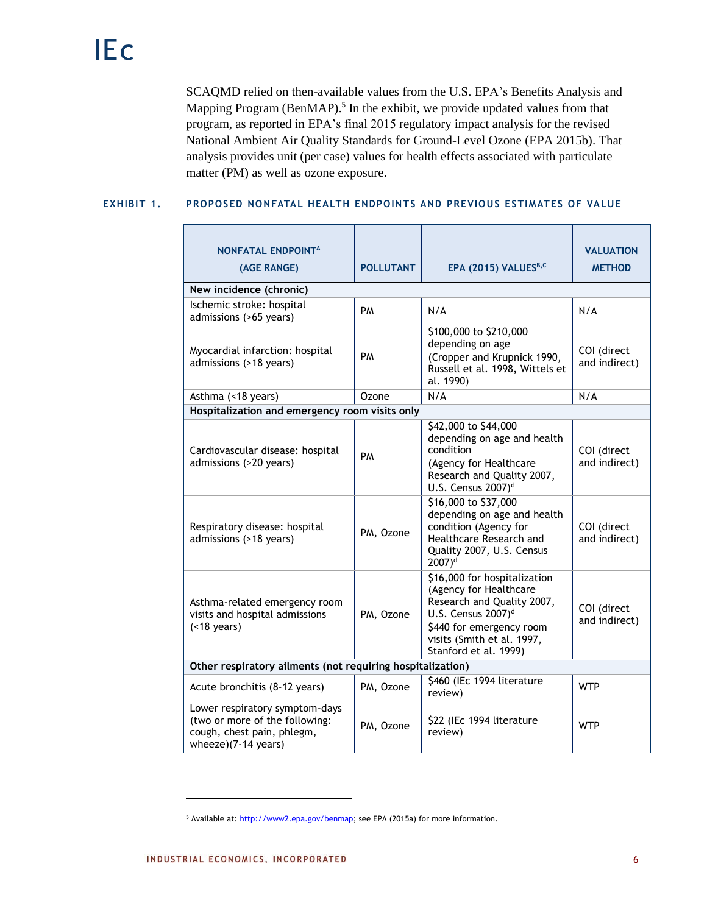SCAQMD relied on then-available values from the U.S. EPA's Benefits Analysis and Mapping Program (BenMAP).<sup>5</sup> In the exhibit, we provide updated values from that program, as reported in EPA's final 2015 regulatory impact analysis for the revised National Ambient Air Quality Standards for Ground-Level Ozone (EPA 2015b). That analysis provides unit (per case) values for health effects associated with particulate matter (PM) as well as ozone exposure.

# **EXHIBIT 1. PROPOSED NONFATAL HEALTH ENDPOINTS AND PREVIOUS ESTIMATES OF VALUE**

| <b>NONFATAL ENDPOINT<sup>A</sup></b><br>(AGE RANGE)                                                                   | <b>POLLUTANT</b> | EPA (2015) VALUES <sup>B,C</sup>                                                                                                                                                                           | <b>VALUATION</b><br><b>METHOD</b> |
|-----------------------------------------------------------------------------------------------------------------------|------------------|------------------------------------------------------------------------------------------------------------------------------------------------------------------------------------------------------------|-----------------------------------|
| New incidence (chronic)                                                                                               |                  |                                                                                                                                                                                                            |                                   |
| Ischemic stroke: hospital<br>admissions (>65 years)                                                                   | PM               | N/A                                                                                                                                                                                                        | N/A                               |
| Myocardial infarction: hospital<br>admissions (>18 years)                                                             | PM               | \$100,000 to \$210,000<br>depending on age<br>(Cropper and Krupnick 1990,<br>Russell et al. 1998, Wittels et<br>al. 1990)                                                                                  | COI (direct<br>and indirect)      |
| Asthma (<18 years)                                                                                                    | Ozone            | N/A                                                                                                                                                                                                        | N/A                               |
| Hospitalization and emergency room visits only                                                                        |                  |                                                                                                                                                                                                            |                                   |
| Cardiovascular disease: hospital<br>admissions (>20 years)                                                            | <b>PM</b>        | \$42,000 to \$44,000<br>depending on age and health<br>condition<br>(Agency for Healthcare<br>Research and Quality 2007,<br>U.S. Census 2007) <sup>d</sup>                                                 | COI (direct<br>and indirect)      |
| Respiratory disease: hospital<br>admissions (>18 years)                                                               | PM, Ozone        | \$16,000 to \$37,000<br>depending on age and health<br>condition (Agency for<br>Healthcare Research and<br>Quality 2007, U.S. Census<br>$2007$ <sup>d</sup>                                                | COI (direct<br>and indirect)      |
| Asthma-related emergency room<br>visits and hospital admissions<br>$( < 18$ years)                                    | PM, Ozone        | \$16,000 for hospitalization<br>(Agency for Healthcare<br>Research and Quality 2007,<br>U.S. Census $2007$ <sup>d</sup><br>\$440 for emergency room<br>visits (Smith et al. 1997,<br>Stanford et al. 1999) | COI (direct<br>and indirect)      |
| Other respiratory ailments (not requiring hospitalization)                                                            |                  |                                                                                                                                                                                                            |                                   |
| Acute bronchitis (8-12 years)                                                                                         | PM, Ozone        | \$460 (IEc 1994 literature<br>review)                                                                                                                                                                      | <b>WTP</b>                        |
| Lower respiratory symptom-days<br>(two or more of the following:<br>cough, chest pain, phlegm,<br>wheeze)(7-14 years) | PM, Ozone        | \$22 (IEc 1994 literature<br>review)                                                                                                                                                                       | <b>WTP</b>                        |

<sup>&</sup>lt;sup>5</sup> Available at: [http://www2.epa.gov/benmap;](http://www2.epa.gov/benmap) see EPA (2015a) for more information.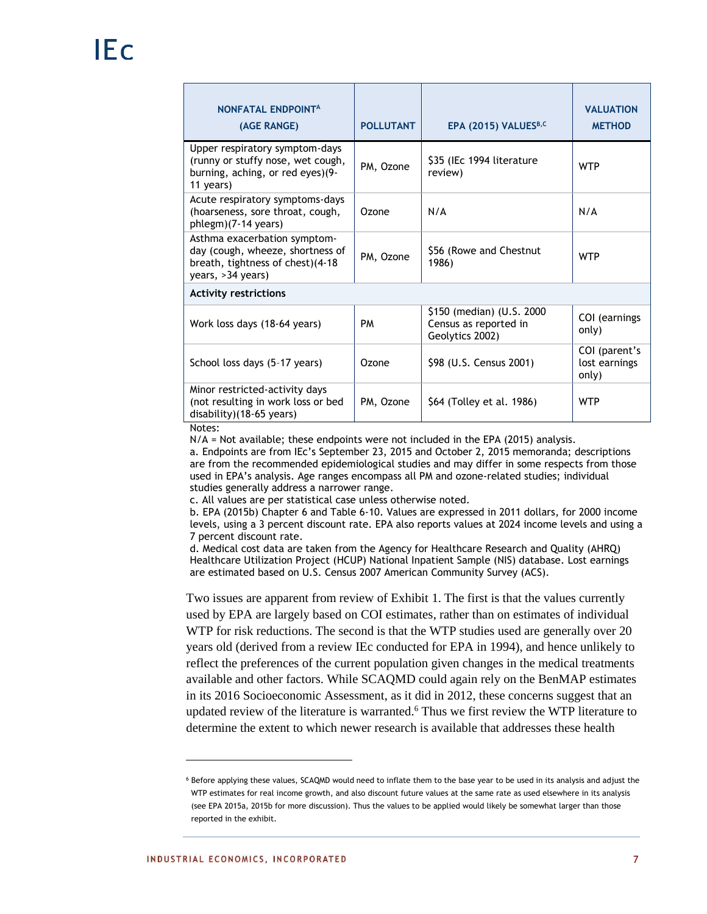| NONFATAL ENDPOINTA<br>(AGE RANGE)                                                                                         | <b>POLLUTANT</b> | EPA (2015) VALUES <sup>B,C</sup>                                       | <b>VALUATION</b><br><b>METHOD</b>       |
|---------------------------------------------------------------------------------------------------------------------------|------------------|------------------------------------------------------------------------|-----------------------------------------|
| Upper respiratory symptom-days<br>(runny or stuffy nose, wet cough,<br>burning, aching, or red eyes)(9-<br>11 years)      | PM, Ozone        | \$35 (IEc 1994 literature<br>review)                                   | <b>WTP</b>                              |
| Acute respiratory symptoms-days<br>(hoarseness, sore throat, cough,<br>phlegm)(7-14 years)                                | Ozone            | N/A                                                                    | N/A                                     |
| Asthma exacerbation symptom-<br>day (cough, wheeze, shortness of<br>breath, tightness of chest)(4-18<br>years, >34 years) | PM, Ozone        | \$56 (Rowe and Chestnut<br>1986)                                       | <b>WTP</b>                              |
| <b>Activity restrictions</b>                                                                                              |                  |                                                                        |                                         |
| Work loss days (18-64 years)                                                                                              | PM               | \$150 (median) (U.S. 2000)<br>Census as reported in<br>Geolytics 2002) | COI (earnings<br>only)                  |
| School loss days (5-17 years)                                                                                             | Ozone            | \$98 (U.S. Census 2001)                                                | COI (parent's<br>lost earnings<br>only) |
| Minor restricted-activity days<br>(not resulting in work loss or bed<br>disability)(18-65 years)<br>.                     | PM, Ozone        | \$64 (Tolley et al. 1986)                                              | <b>WTP</b>                              |

Notes:

 $N/A$  = Not available; these endpoints were not included in the EPA (2015) analysis.

a. Endpoints are from IEc's September 23, 2015 and October 2, 2015 memoranda; descriptions are from the recommended epidemiological studies and may differ in some respects from those used in EPA's analysis. Age ranges encompass all PM and ozone-related studies; individual studies generally address a narrower range.

c. All values are per statistical case unless otherwise noted.

b. EPA (2015b) Chapter 6 and Table 6-10. Values are expressed in 2011 dollars, for 2000 income levels, using a 3 percent discount rate. EPA also reports values at 2024 income levels and using a 7 percent discount rate.

d. Medical cost data are taken from the Agency for Healthcare Research and Quality (AHRQ) Healthcare Utilization Project (HCUP) National Inpatient Sample (NIS) database. Lost earnings are estimated based on U.S. Census 2007 American Community Survey (ACS).

Two issues are apparent from review of Exhibit 1. The first is that the values currently used by EPA are largely based on COI estimates, rather than on estimates of individual WTP for risk reductions. The second is that the WTP studies used are generally over 20 years old (derived from a review IEc conducted for EPA in 1994), and hence unlikely to reflect the preferences of the current population given changes in the medical treatments available and other factors. While SCAQMD could again rely on the BenMAP estimates in its 2016 Socioeconomic Assessment, as it did in 2012, these concerns suggest that an updated review of the literature is warranted.<sup>6</sup> Thus we first review the WTP literature to determine the extent to which newer research is available that addresses these health

<sup>6</sup> Before applying these values, SCAQMD would need to inflate them to the base year to be used in its analysis and adjust the WTP estimates for real income growth, and also discount future values at the same rate as used elsewhere in its analysis (see EPA 2015a, 2015b for more discussion). Thus the values to be applied would likely be somewhat larger than those reported in the exhibit.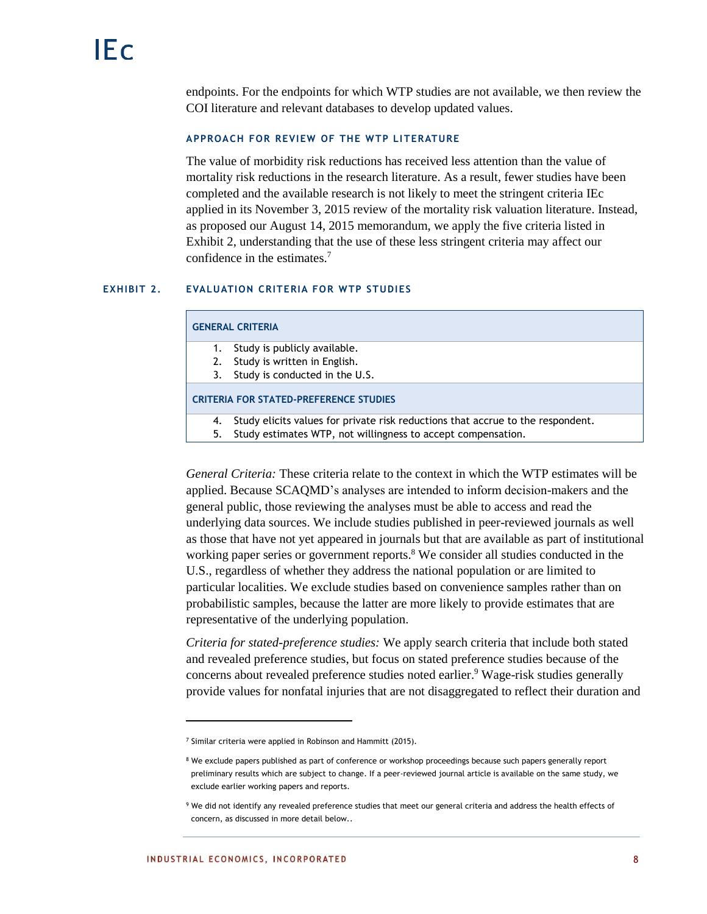endpoints. For the endpoints for which WTP studies are not available, we then review the COI literature and relevant databases to develop updated values.

## **APPROACH FOR REVIEW OF THE WTP LI TERATURE**

The value of morbidity risk reductions has received less attention than the value of mortality risk reductions in the research literature. As a result, fewer studies have been completed and the available research is not likely to meet the stringent criteria IEc applied in its November 3, 2015 review of the mortality risk valuation literature. Instead, as proposed our August 14, 2015 memorandum, we apply the five criteria listed in Exhibit 2, understanding that the use of these less stringent criteria may affect our confidence in the estimates.<sup>7</sup>

## **EXHIBIT 2. EVALUATION CRITERIA FOR WTP STUDIES**

#### **GENERAL CRITERIA**

- 1. Study is publicly available.
- 2. Study is written in English.
- 3. Study is conducted in the U.S.

#### **CRITERIA FOR STATED-PREFERENCE STUDIES**

- 4. Study elicits values for private risk reductions that accrue to the respondent.
- 5. Study estimates WTP, not willingness to accept compensation.

*General Criteria:* These criteria relate to the context in which the WTP estimates will be applied. Because SCAQMD's analyses are intended to inform decision-makers and the general public, those reviewing the analyses must be able to access and read the underlying data sources. We include studies published in peer-reviewed journals as well as those that have not yet appeared in journals but that are available as part of institutional working paper series or government reports.<sup>8</sup> We consider all studies conducted in the U.S., regardless of whether they address the national population or are limited to particular localities. We exclude studies based on convenience samples rather than on probabilistic samples, because the latter are more likely to provide estimates that are representative of the underlying population.

*Criteria for stated-preference studies:* We apply search criteria that include both stated and revealed preference studies, but focus on stated preference studies because of the concerns about revealed preference studies noted earlier. <sup>9</sup> Wage-risk studies generally provide values for nonfatal injuries that are not disaggregated to reflect their duration and

<sup>&</sup>lt;sup>7</sup> Similar criteria were applied in Robinson and Hammitt (2015).

<sup>&</sup>lt;sup>8</sup> We exclude papers published as part of conference or workshop proceedings because such papers generally report preliminary results which are subject to change. If a peer-reviewed journal article is available on the same study, we exclude earlier working papers and reports.

<sup>9</sup> We did not identify any revealed preference studies that meet our general criteria and address the health effects of concern, as discussed in more detail below..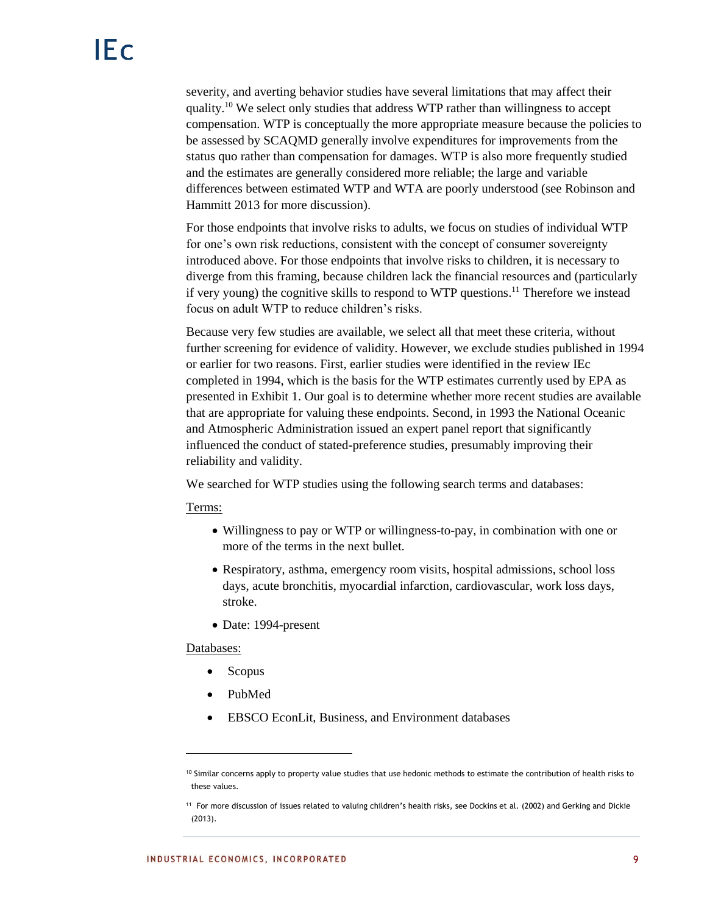severity, and averting behavior studies have several limitations that may affect their quality.<sup>10</sup> We select only studies that address WTP rather than willingness to accept compensation. WTP is conceptually the more appropriate measure because the policies to be assessed by SCAQMD generally involve expenditures for improvements from the status quo rather than compensation for damages. WTP is also more frequently studied and the estimates are generally considered more reliable; the large and variable differences between estimated WTP and WTA are poorly understood (see Robinson and Hammitt 2013 for more discussion).

For those endpoints that involve risks to adults, we focus on studies of individual WTP for one's own risk reductions, consistent with the concept of consumer sovereignty introduced above. For those endpoints that involve risks to children, it is necessary to diverge from this framing, because children lack the financial resources and (particularly if very young) the cognitive skills to respond to WTP questions.<sup>11</sup> Therefore we instead focus on adult WTP to reduce children's risks.

Because very few studies are available, we select all that meet these criteria, without further screening for evidence of validity. However, we exclude studies published in 1994 or earlier for two reasons. First, earlier studies were identified in the review IEc completed in 1994, which is the basis for the WTP estimates currently used by EPA as presented in Exhibit 1. Our goal is to determine whether more recent studies are available that are appropriate for valuing these endpoints. Second, in 1993 the National Oceanic and Atmospheric Administration issued an expert panel report that significantly influenced the conduct of stated-preference studies, presumably improving their reliability and validity.

We searched for WTP studies using the following search terms and databases:

Terms:

- Willingness to pay or WTP or willingness-to-pay, in combination with one or more of the terms in the next bullet*.*
- Respiratory, asthma, emergency room visits, hospital admissions, school loss days, acute bronchitis, myocardial infarction, cardiovascular, work loss days, stroke.
- Date: 1994-present

## Databases:

- Scopus
- PubMed
- EBSCO EconLit, Business, and Environment databases

<sup>10</sup> Similar concerns apply to property value studies that use hedonic methods to estimate the contribution of health risks to these values.

<sup>11</sup> For more discussion of issues related to valuing children's health risks, see Dockins et al. (2002) and Gerking and Dickie (2013).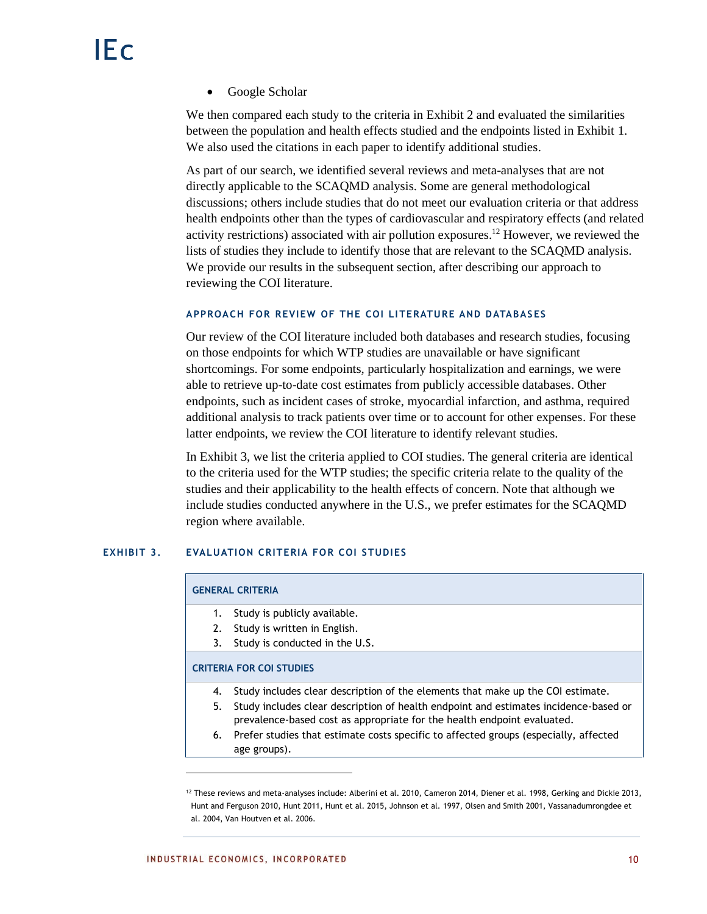Google Scholar

We then compared each study to the criteria in Exhibit 2 and evaluated the similarities between the population and health effects studied and the endpoints listed in Exhibit 1. We also used the citations in each paper to identify additional studies.

As part of our search, we identified several reviews and meta-analyses that are not directly applicable to the SCAQMD analysis. Some are general methodological discussions; others include studies that do not meet our evaluation criteria or that address health endpoints other than the types of cardiovascular and respiratory effects (and related activity restrictions) associated with air pollution exposures. <sup>12</sup> However, we reviewed the lists of studies they include to identify those that are relevant to the SCAQMD analysis. We provide our results in the subsequent section, after describing our approach to reviewing the COI literature.

## **APPROACH FOR REVIEW OF THE COI LI TERATURE AND DATABAS ES**

Our review of the COI literature included both databases and research studies, focusing on those endpoints for which WTP studies are unavailable or have significant shortcomings. For some endpoints, particularly hospitalization and earnings, we were able to retrieve up-to-date cost estimates from publicly accessible databases. Other endpoints, such as incident cases of stroke, myocardial infarction, and asthma, required additional analysis to track patients over time or to account for other expenses. For these latter endpoints, we review the COI literature to identify relevant studies.

In Exhibit 3, we list the criteria applied to COI studies. The general criteria are identical to the criteria used for the WTP studies; the specific criteria relate to the quality of the studies and their applicability to the health effects of concern. Note that although we include studies conducted anywhere in the U.S., we prefer estimates for the SCAQMD region where available.

## **EXHIBIT 3. EVALUATION CRITERIA FOR COI STUDIES**

|    | <b>GENERAL CRITERIA</b>                                                                                                                                         |
|----|-----------------------------------------------------------------------------------------------------------------------------------------------------------------|
| 1. | Study is publicly available.                                                                                                                                    |
| 2. | Study is written in English.                                                                                                                                    |
| 3. | Study is conducted in the U.S.                                                                                                                                  |
|    | <b>CRITERIA FOR COI STUDIES</b>                                                                                                                                 |
| 4. | Study includes clear description of the elements that make up the COI estimate.                                                                                 |
| 5. | Study includes clear description of health endpoint and estimates incidence-based or<br>prevalence-based cost as appropriate for the health endpoint evaluated. |
|    |                                                                                                                                                                 |
| 6. | Prefer studies that estimate costs specific to affected groups (especially, affected<br>age groups).                                                            |

<sup>12</sup> These reviews and meta-analyses include: Alberini et al. 2010, Cameron 2014, Diener et al. 1998, Gerking and Dickie 2013, Hunt and Ferguson 2010, Hunt 2011, Hunt et al. 2015, Johnson et al. 1997, Olsen and Smith 2001, Vassanadumrongdee et al. 2004, Van Houtven et al. 2006.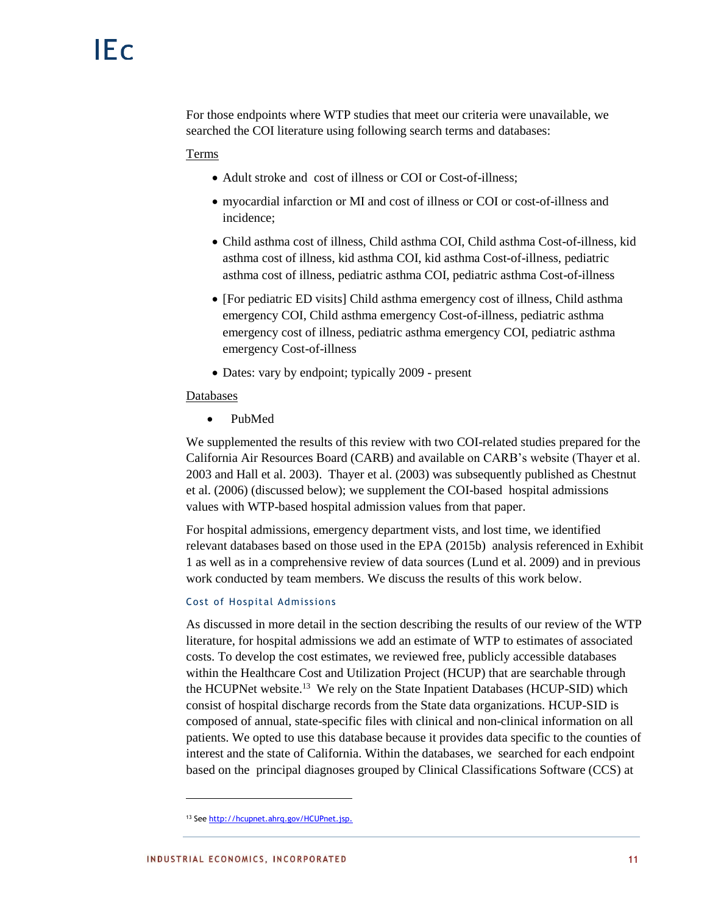For those endpoints where WTP studies that meet our criteria were unavailable, we searched the COI literature using following search terms and databases:

Terms

- Adult stroke and cost of illness or COI or Cost-of-illness;
- myocardial infarction or MI and cost of illness or COI or cost-of-illness and incidence;
- Child asthma cost of illness, Child asthma COI, Child asthma Cost-of-illness, kid asthma cost of illness, kid asthma COI, kid asthma Cost-of-illness, pediatric asthma cost of illness, pediatric asthma COI, pediatric asthma Cost-of-illness
- [For pediatric ED visits] Child asthma emergency cost of illness, Child asthma emergency COI, Child asthma emergency Cost-of-illness, pediatric asthma emergency cost of illness, pediatric asthma emergency COI, pediatric asthma emergency Cost-of-illness
- Dates: vary by endpoint; typically 2009 present

#### Databases

PubMed

We supplemented the results of this review with two COI-related studies prepared for the California Air Resources Board (CARB) and available on CARB's website (Thayer et al. 2003 and Hall et al. 2003). Thayer et al. (2003) was subsequently published as Chestnut et al. (2006) (discussed below); we supplement the COI-based hospital admissions values with WTP-based hospital admission values from that paper.

For hospital admissions, emergency department vists, and lost time, we identified relevant databases based on those used in the EPA (2015b) analysis referenced in Exhibit 1 as well as in a comprehensive review of data sources (Lund et al. 2009) and in previous work conducted by team members. We discuss the results of this work below.

### Cost of Hospital Admissions

As discussed in more detail in the section describing the results of our review of the WTP literature, for hospital admissions we add an estimate of WTP to estimates of associated costs. To develop the cost estimates, we reviewed free, publicly accessible databases within the Healthcare Cost and Utilization Project (HCUP) that are searchable through the HCUPNet website.<sup>13</sup> We rely on the State Inpatient Databases (HCUP-SID) which consist of hospital discharge records from the State data organizations. HCUP-SID is composed of annual, state-specific files with clinical and non-clinical information on all patients. We opted to use this database because it provides data specific to the counties of interest and the state of California. Within the databases, we searched for each endpoint based on the principal diagnoses grouped by Clinical Classifications Software (CCS) at

<sup>13</sup> Se[e http://hcupnet.ahrq.gov/HCUPnet.jsp.](http://hcupnet.ahrq.gov/HCUPnet.jsp)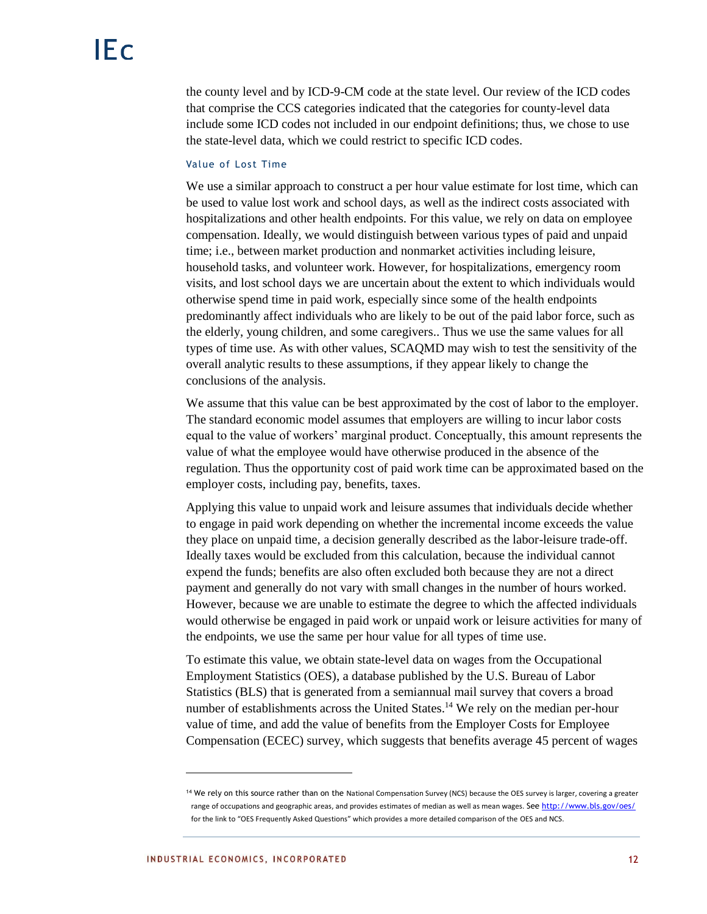the county level and by ICD-9-CM code at the state level. Our review of the ICD codes that comprise the CCS categories indicated that the categories for county-level data include some ICD codes not included in our endpoint definitions; thus, we chose to use the state-level data, which we could restrict to specific ICD codes.

#### Value of Lost Time

We use a similar approach to construct a per hour value estimate for lost time, which can be used to value lost work and school days, as well as the indirect costs associated with hospitalizations and other health endpoints. For this value, we rely on data on employee compensation. Ideally, we would distinguish between various types of paid and unpaid time; i.e., between market production and nonmarket activities including leisure, household tasks, and volunteer work. However, for hospitalizations, emergency room visits, and lost school days we are uncertain about the extent to which individuals would otherwise spend time in paid work, especially since some of the health endpoints predominantly affect individuals who are likely to be out of the paid labor force, such as the elderly, young children, and some caregivers.. Thus we use the same values for all types of time use. As with other values, SCAQMD may wish to test the sensitivity of the overall analytic results to these assumptions, if they appear likely to change the conclusions of the analysis.

We assume that this value can be best approximated by the cost of labor to the employer. The standard economic model assumes that employers are willing to incur labor costs equal to the value of workers' marginal product. Conceptually, this amount represents the value of what the employee would have otherwise produced in the absence of the regulation. Thus the opportunity cost of paid work time can be approximated based on the employer costs, including pay, benefits, taxes.

Applying this value to unpaid work and leisure assumes that individuals decide whether to engage in paid work depending on whether the incremental income exceeds the value they place on unpaid time, a decision generally described as the labor-leisure trade-off. Ideally taxes would be excluded from this calculation, because the individual cannot expend the funds; benefits are also often excluded both because they are not a direct payment and generally do not vary with small changes in the number of hours worked. However, because we are unable to estimate the degree to which the affected individuals would otherwise be engaged in paid work or unpaid work or leisure activities for many of the endpoints, we use the same per hour value for all types of time use.

To estimate this value, we obtain state-level data on wages from the Occupational Employment Statistics (OES), a database published by the U.S. Bureau of Labor Statistics (BLS) that is generated from a semiannual mail survey that covers a broad number of establishments across the United States.<sup>14</sup> We rely on the median per-hour value of time, and add the value of benefits from the Employer Costs for Employee Compensation (ECEC) survey, which suggests that benefits average 45 percent of wages

<sup>&</sup>lt;sup>14</sup> We rely on this source rather than on the National Compensation Survey (NCS) because the OES survey is larger, covering a greater range of occupations and geographic areas, and provides estimates of median as well as mean wages. Se[e http://www.bls.gov/oes/](http://www.bls.gov/oes/) for the link to "OES Frequently Asked Questions" which provides a more detailed comparison of the OES and NCS.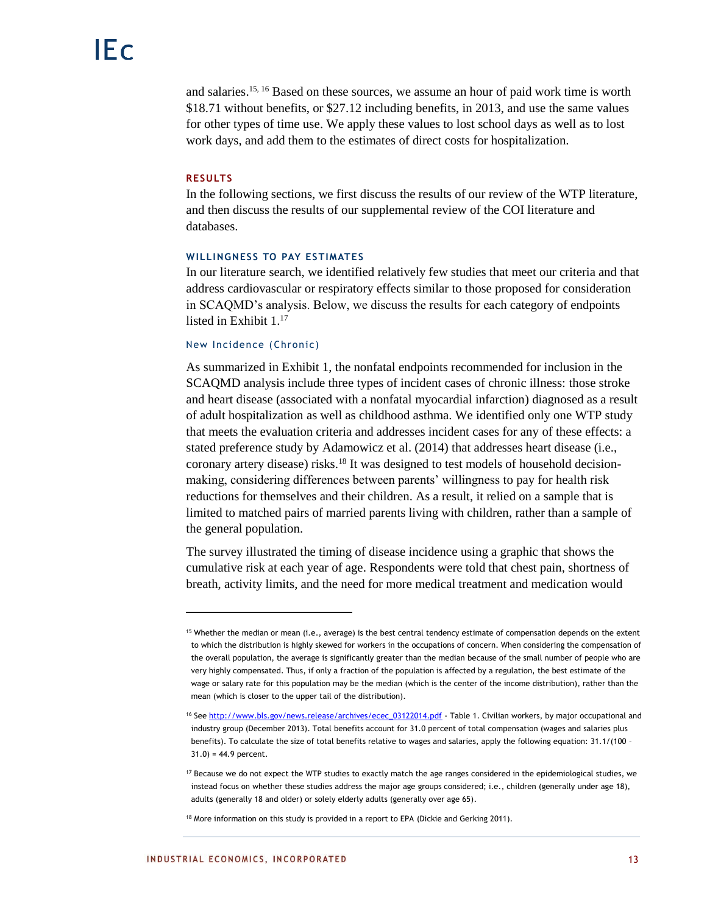and salaries.<sup>15, 16</sup> Based on these sources, we assume an hour of paid work time is worth \$18.71 without benefits, or \$27.12 including benefits, in 2013, and use the same values for other types of time use. We apply these values to lost school days as well as to lost work days, and add them to the estimates of direct costs for hospitalization.

## **RESULTS**

l

In the following sections, we first discuss the results of our review of the WTP literature, and then discuss the results of our supplemental review of the COI literature and databases.

## **WILLINGNESS TO PAY ESTIMATES**

In our literature search, we identified relatively few studies that meet our criteria and that address cardiovascular or respiratory effects similar to those proposed for consideration in SCAQMD's analysis. Below, we discuss the results for each category of endpoints listed in Exhibit 1. 17

#### New Incidence (Chronic)

As summarized in Exhibit 1, the nonfatal endpoints recommended for inclusion in the SCAQMD analysis include three types of incident cases of chronic illness: those stroke and heart disease (associated with a nonfatal myocardial infarction) diagnosed as a result of adult hospitalization as well as childhood asthma. We identified only one WTP study that meets the evaluation criteria and addresses incident cases for any of these effects: a stated preference study by Adamowicz et al. (2014) that addresses heart disease (i.e., coronary artery disease) risks.<sup>18</sup> It was designed to test models of household decisionmaking, considering differences between parents' willingness to pay for health risk reductions for themselves and their children. As a result, it relied on a sample that is limited to matched pairs of married parents living with children, rather than a sample of the general population.

The survey illustrated the timing of disease incidence using a graphic that shows the cumulative risk at each year of age. Respondents were told that chest pain, shortness of breath, activity limits, and the need for more medical treatment and medication would

<sup>15</sup> Whether the median or mean (i.e., average) is the best central tendency estimate of compensation depends on the extent to which the distribution is highly skewed for workers in the occupations of concern. When considering the compensation of the overall population, the average is significantly greater than the median because of the small number of people who are very highly compensated. Thus, if only a fraction of the population is affected by a regulation, the best estimate of the wage or salary rate for this population may be the median (which is the center of the income distribution), rather than the mean (which is closer to the upper tail of the distribution).

<sup>&</sup>lt;sup>16</sup> Se[e http://www.bls.gov/news.release/archives/ecec\\_03122014.pdf](http://www.bls.gov/news.release/archives/ecec_03122014.pdf) - Table 1. Civilian workers, by major occupational and industry group (December 2013). Total benefits account for 31.0 percent of total compensation (wages and salaries plus benefits). To calculate the size of total benefits relative to wages and salaries, apply the following equation: 31.1/(100 – 31.0) = 44.9 percent.

<sup>17</sup> Because we do not expect the WTP studies to exactly match the age ranges considered in the epidemiological studies, we instead focus on whether these studies address the major age groups considered; i.e., children (generally under age 18), adults (generally 18 and older) or solely elderly adults (generally over age 65).

<sup>18</sup> More information on this study is provided in a report to EPA (Dickie and Gerking 2011).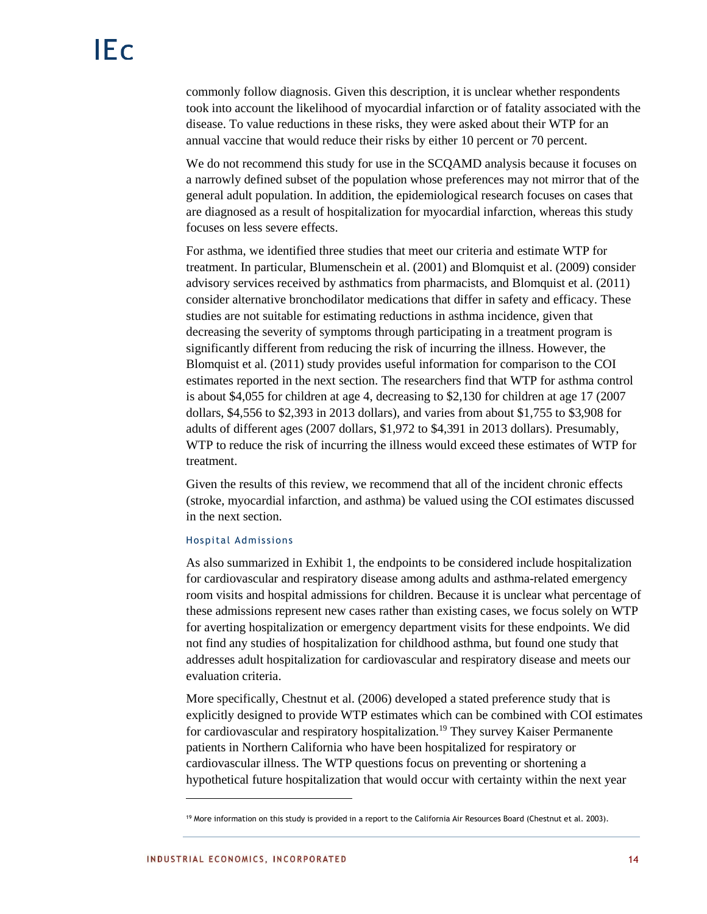commonly follow diagnosis. Given this description, it is unclear whether respondents took into account the likelihood of myocardial infarction or of fatality associated with the disease. To value reductions in these risks, they were asked about their WTP for an annual vaccine that would reduce their risks by either 10 percent or 70 percent.

We do not recommend this study for use in the SCQAMD analysis because it focuses on a narrowly defined subset of the population whose preferences may not mirror that of the general adult population. In addition, the epidemiological research focuses on cases that are diagnosed as a result of hospitalization for myocardial infarction, whereas this study focuses on less severe effects.

For asthma, we identified three studies that meet our criteria and estimate WTP for treatment. In particular, Blumenschein et al. (2001) and Blomquist et al. (2009) consider advisory services received by asthmatics from pharmacists, and Blomquist et al. (2011) consider alternative bronchodilator medications that differ in safety and efficacy. These studies are not suitable for estimating reductions in asthma incidence, given that decreasing the severity of symptoms through participating in a treatment program is significantly different from reducing the risk of incurring the illness. However, the Blomquist et al. (2011) study provides useful information for comparison to the COI estimates reported in the next section. The researchers find that WTP for asthma control is about \$4,055 for children at age 4, decreasing to \$2,130 for children at age 17 (2007 dollars, \$4,556 to \$2,393 in 2013 dollars), and varies from about \$1,755 to \$3,908 for adults of different ages (2007 dollars, \$1,972 to \$4,391 in 2013 dollars). Presumably, WTP to reduce the risk of incurring the illness would exceed these estimates of WTP for treatment.

Given the results of this review, we recommend that all of the incident chronic effects (stroke, myocardial infarction, and asthma) be valued using the COI estimates discussed in the next section.

#### Hospital Admissions

As also summarized in Exhibit 1, the endpoints to be considered include hospitalization for cardiovascular and respiratory disease among adults and asthma-related emergency room visits and hospital admissions for children. Because it is unclear what percentage of these admissions represent new cases rather than existing cases, we focus solely on WTP for averting hospitalization or emergency department visits for these endpoints. We did not find any studies of hospitalization for childhood asthma, but found one study that addresses adult hospitalization for cardiovascular and respiratory disease and meets our evaluation criteria.

More specifically, Chestnut et al. (2006) developed a stated preference study that is explicitly designed to provide WTP estimates which can be combined with COI estimates for cardiovascular and respiratory hospitalization.<sup>19</sup> They survey Kaiser Permanente patients in Northern California who have been hospitalized for respiratory or cardiovascular illness. The WTP questions focus on preventing or shortening a hypothetical future hospitalization that would occur with certainty within the next year

<sup>19</sup> More information on this study is provided in a report to the California Air Resources Board (Chestnut et al. 2003).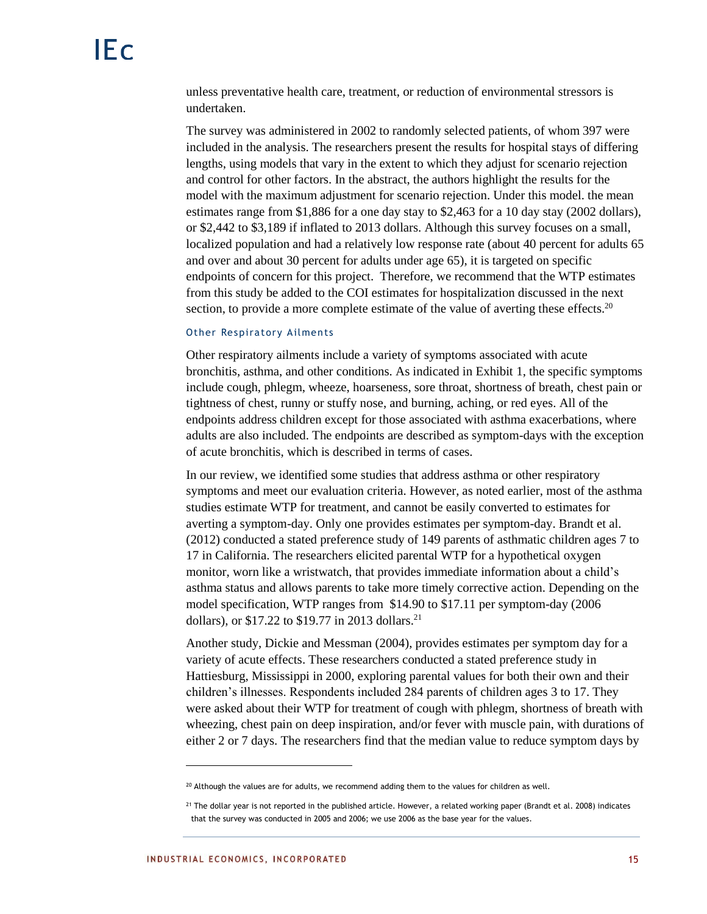unless preventative health care, treatment, or reduction of environmental stressors is undertaken.

The survey was administered in 2002 to randomly selected patients, of whom 397 were included in the analysis. The researchers present the results for hospital stays of differing lengths, using models that vary in the extent to which they adjust for scenario rejection and control for other factors. In the abstract, the authors highlight the results for the model with the maximum adjustment for scenario rejection. Under this model. the mean estimates range from \$1,886 for a one day stay to \$2,463 for a 10 day stay (2002 dollars), or \$2,442 to \$3,189 if inflated to 2013 dollars. Although this survey focuses on a small, localized population and had a relatively low response rate (about 40 percent for adults 65 and over and about 30 percent for adults under age 65), it is targeted on specific endpoints of concern for this project. Therefore, we recommend that the WTP estimates from this study be added to the COI estimates for hospitalization discussed in the next section, to provide a more complete estimate of the value of averting these effects.<sup>20</sup>

#### Other Respiratory Ailments

Other respiratory ailments include a variety of symptoms associated with acute bronchitis, asthma, and other conditions. As indicated in Exhibit 1, the specific symptoms include cough, phlegm, wheeze, hoarseness, sore throat, shortness of breath, chest pain or tightness of chest, runny or stuffy nose, and burning, aching, or red eyes. All of the endpoints address children except for those associated with asthma exacerbations, where adults are also included. The endpoints are described as symptom-days with the exception of acute bronchitis, which is described in terms of cases.

In our review, we identified some studies that address asthma or other respiratory symptoms and meet our evaluation criteria. However, as noted earlier, most of the asthma studies estimate WTP for treatment, and cannot be easily converted to estimates for averting a symptom-day. Only one provides estimates per symptom-day. Brandt et al. (2012) conducted a stated preference study of 149 parents of asthmatic children ages 7 to 17 in California. The researchers elicited parental WTP for a hypothetical oxygen monitor, worn like a wristwatch, that provides immediate information about a child's asthma status and allows parents to take more timely corrective action. Depending on the model specification, WTP ranges from \$14.90 to \$17.11 per symptom-day (2006 dollars), or  $$17.22$  to  $$19.77$  in 2013 dollars.<sup>21</sup>

Another study, Dickie and Messman (2004), provides estimates per symptom day for a variety of acute effects. These researchers conducted a stated preference study in Hattiesburg, Mississippi in 2000, exploring parental values for both their own and their children's illnesses. Respondents included 284 parents of children ages 3 to 17. They were asked about their WTP for treatment of cough with phlegm, shortness of breath with wheezing, chest pain on deep inspiration, and/or fever with muscle pain, with durations of either 2 or 7 days. The researchers find that the median value to reduce symptom days by

 $20$  Although the values are for adults, we recommend adding them to the values for children as well.

<sup>&</sup>lt;sup>21</sup> The dollar year is not reported in the published article. However, a related working paper (Brandt et al. 2008) indicates that the survey was conducted in 2005 and 2006; we use 2006 as the base year for the values.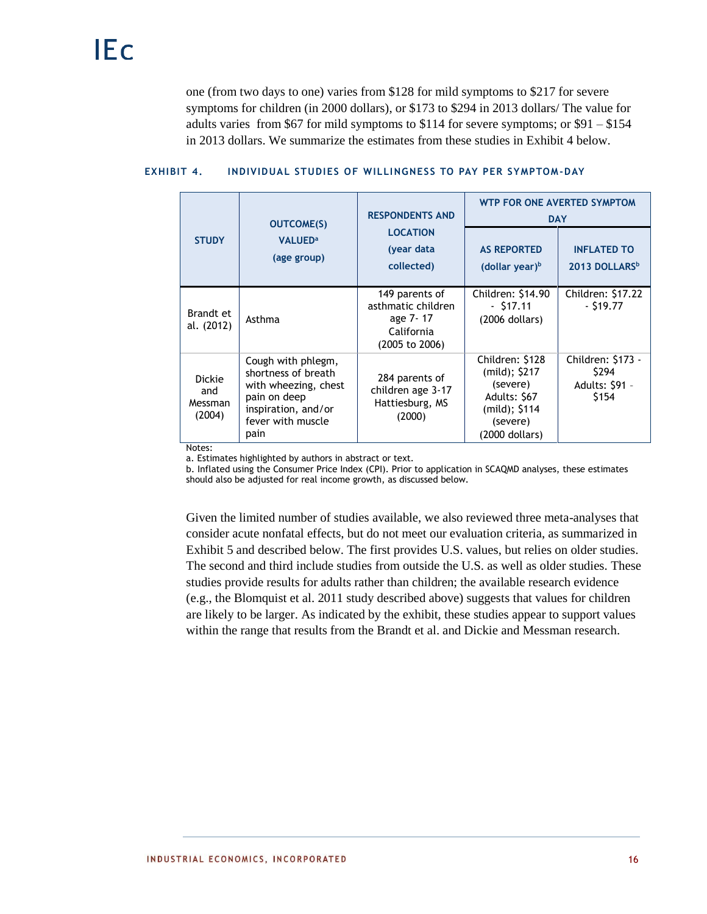one (from two days to one) varies from \$128 for mild symptoms to \$217 for severe symptoms for children (in 2000 dollars), or \$173 to \$294 in 2013 dollars/ The value for adults varies from \$67 for mild symptoms to \$114 for severe symptoms; or \$91 – \$154 in 2013 dollars. We summarize the estimates from these studies in Exhibit 4 below.

|                                    | <b>OUTCOME(S)</b>                                                                                                                     | <b>RESPONDENTS AND</b>                                                           | WTP FOR ONE AVERTED SYMPTOM<br><b>DAY</b>                                                                     |                                                       |  |
|------------------------------------|---------------------------------------------------------------------------------------------------------------------------------------|----------------------------------------------------------------------------------|---------------------------------------------------------------------------------------------------------------|-------------------------------------------------------|--|
| <b>STUDY</b>                       | <b>VALUED<sup>a</sup></b><br>(age group)                                                                                              | <b>LOCATION</b><br>(year data<br>collected)                                      | <b>AS REPORTED</b><br>(dollar year) $b$                                                                       | <b>INFLATED TO</b><br>2013 DOLLARS <sup>b</sup>       |  |
| Brandt et<br>al. (2012)            | Asthma                                                                                                                                | 149 parents of<br>asthmatic children<br>age 7-17<br>California<br>(2005 to 2006) | Children: \$14.90<br>$-517.11$<br>$(2006$ dollars)                                                            | Children: \$17.22<br>$-519.77$                        |  |
| Dickie<br>and<br>Messman<br>(2004) | Cough with phlegm,<br>shortness of breath<br>with wheezing, chest<br>pain on deep<br>inspiration, and/or<br>fever with muscle<br>pain | 284 parents of<br>children age 3-17<br>Hattiesburg, MS<br>(2000)                 | Children: \$128<br>(mild); \$217<br>(severe)<br>Adults: \$67<br>$(mild);$ \$114<br>(severe)<br>(2000 dollars) | Children: \$173 -<br>\$294<br>Adults: \$91 -<br>\$154 |  |

# **EXHIBIT 4. INDIVIDUAL STUDIES OF WILLINGNESS TO PAY PER SYMPTOM-DAY**

Notes:

a. Estimates highlighted by authors in abstract or text.

b. Inflated using the Consumer Price Index (CPI). Prior to application in SCAQMD analyses, these estimates should also be adjusted for real income growth, as discussed below.

Given the limited number of studies available, we also reviewed three meta-analyses that consider acute nonfatal effects, but do not meet our evaluation criteria, as summarized in Exhibit 5 and described below. The first provides U.S. values, but relies on older studies. The second and third include studies from outside the U.S. as well as older studies. These studies provide results for adults rather than children; the available research evidence (e.g., the Blomquist et al. 2011 study described above) suggests that values for children are likely to be larger. As indicated by the exhibit, these studies appear to support values within the range that results from the Brandt et al. and Dickie and Messman research.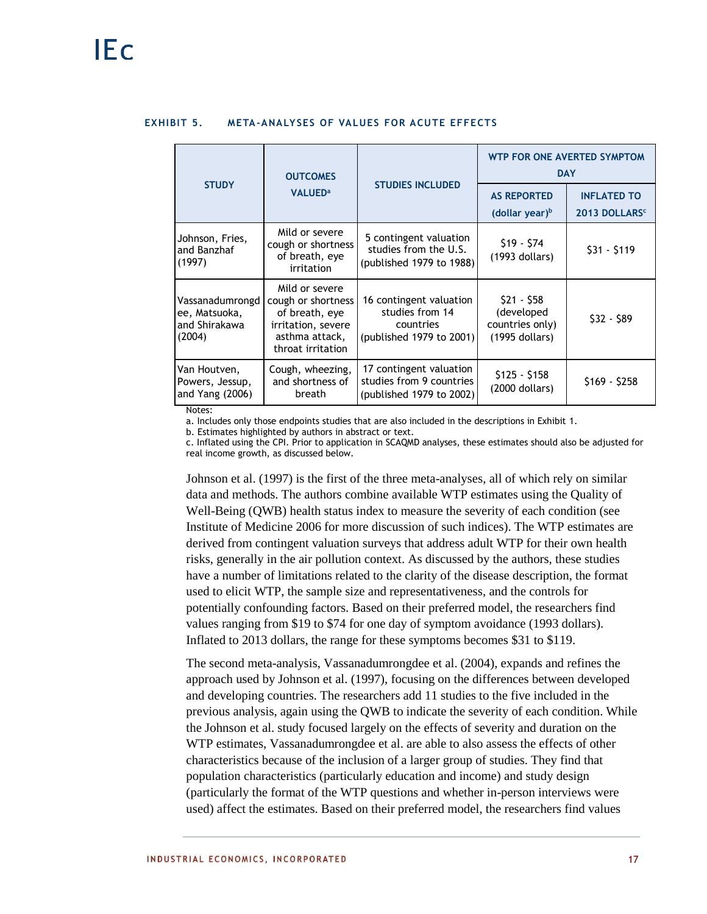| <b>OUTCOMES</b>                                             |                                                                                                                     |                                                                                     | WTP FOR ONE AVERTED SYMPTOM<br><b>DAY</b>                      |                                                 |  |
|-------------------------------------------------------------|---------------------------------------------------------------------------------------------------------------------|-------------------------------------------------------------------------------------|----------------------------------------------------------------|-------------------------------------------------|--|
| <b>STUDY</b>                                                | <b>VALUED<sup>a</sup></b>                                                                                           | <b>STUDIES INCLUDED</b>                                                             | <b>AS REPORTED</b><br>(dollar year) $b$                        | <b>INFLATED TO</b><br>2013 DOLLARS <sup>c</sup> |  |
| Johnson, Fries,<br>and Banzhaf<br>(1997)                    | Mild or severe<br>cough or shortness<br>of breath, eye<br>irritation                                                | 5 contingent valuation<br>studies from the U.S.<br>(published 1979 to 1988)         | $$19 - $74$<br>$(1993$ dollars)                                | $$31 - $119$                                    |  |
| Vassanadumrongd<br>ee, Matsuoka,<br>and Shirakawa<br>(2004) | Mild or severe<br>cough or shortness<br>of breath, eye<br>irritation, severe<br>asthma attack,<br>throat irritation | 16 contingent valuation<br>studies from 14<br>countries<br>(published 1979 to 2001) | $$21 - $58$<br>(developed<br>countries only)<br>(1995 dollars) | $$32 - $89$                                     |  |
| Van Houtven,<br>Powers, Jessup,<br>and Yang (2006)          | Cough, wheezing,<br>and shortness of<br>breath                                                                      | 17 contingent valuation<br>studies from 9 countries<br>(published 1979 to 2002)     | $$125 - $158$<br>$(2000$ dollars)                              | $$169 - $258$                                   |  |

## **EXHIBIT 5. META-ANALYSES OF VALUES FOR ACUTE EFFECTS**

Notes:

a. Includes only those endpoints studies that are also included in the descriptions in Exhibit 1.

b. Estimates highlighted by authors in abstract or text.

c. Inflated using the CPI. Prior to application in SCAQMD analyses, these estimates should also be adjusted for real income growth, as discussed below.

Johnson et al. (1997) is the first of the three meta-analyses, all of which rely on similar data and methods. The authors combine available WTP estimates using the Quality of Well-Being (QWB) health status index to measure the severity of each condition (see Institute of Medicine 2006 for more discussion of such indices). The WTP estimates are derived from contingent valuation surveys that address adult WTP for their own health risks, generally in the air pollution context. As discussed by the authors, these studies have a number of limitations related to the clarity of the disease description, the format used to elicit WTP, the sample size and representativeness, and the controls for potentially confounding factors. Based on their preferred model, the researchers find values ranging from \$19 to \$74 for one day of symptom avoidance (1993 dollars). Inflated to 2013 dollars, the range for these symptoms becomes \$31 to \$119.

The second meta-analysis, Vassanadumrongdee et al. (2004), expands and refines the approach used by Johnson et al. (1997), focusing on the differences between developed and developing countries. The researchers add 11 studies to the five included in the previous analysis, again using the QWB to indicate the severity of each condition. While the Johnson et al. study focused largely on the effects of severity and duration on the WTP estimates, Vassanadumrongdee et al. are able to also assess the effects of other characteristics because of the inclusion of a larger group of studies. They find that population characteristics (particularly education and income) and study design (particularly the format of the WTP questions and whether in-person interviews were used) affect the estimates. Based on their preferred model, the researchers find values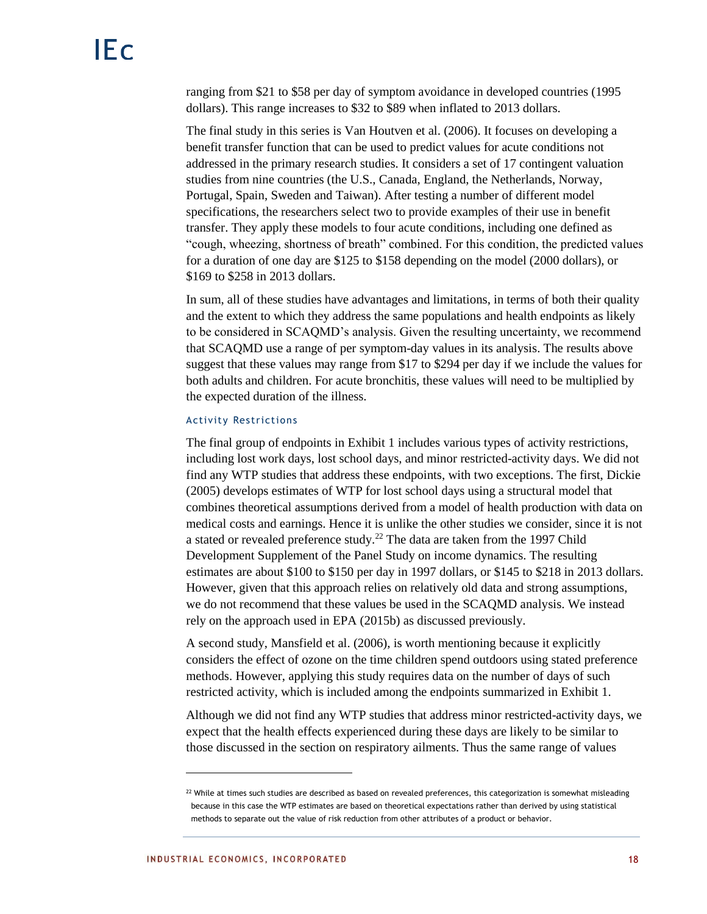ranging from \$21 to \$58 per day of symptom avoidance in developed countries (1995 dollars). This range increases to \$32 to \$89 when inflated to 2013 dollars.

The final study in this series is Van Houtven et al. (2006). It focuses on developing a benefit transfer function that can be used to predict values for acute conditions not addressed in the primary research studies. It considers a set of 17 contingent valuation studies from nine countries (the U.S., Canada, England, the Netherlands, Norway, Portugal, Spain, Sweden and Taiwan). After testing a number of different model specifications, the researchers select two to provide examples of their use in benefit transfer. They apply these models to four acute conditions, including one defined as "cough, wheezing, shortness of breath" combined. For this condition, the predicted values for a duration of one day are \$125 to \$158 depending on the model (2000 dollars), or \$169 to \$258 in 2013 dollars.

In sum, all of these studies have advantages and limitations, in terms of both their quality and the extent to which they address the same populations and health endpoints as likely to be considered in SCAQMD's analysis. Given the resulting uncertainty, we recommend that SCAQMD use a range of per symptom-day values in its analysis. The results above suggest that these values may range from \$17 to \$294 per day if we include the values for both adults and children. For acute bronchitis, these values will need to be multiplied by the expected duration of the illness.

### Activity Restrictions

The final group of endpoints in Exhibit 1 includes various types of activity restrictions, including lost work days, lost school days, and minor restricted-activity days. We did not find any WTP studies that address these endpoints, with two exceptions. The first, Dickie (2005) develops estimates of WTP for lost school days using a structural model that combines theoretical assumptions derived from a model of health production with data on medical costs and earnings. Hence it is unlike the other studies we consider, since it is not a stated or revealed preference study.<sup>22</sup> The data are taken from the 1997 Child Development Supplement of the Panel Study on income dynamics. The resulting estimates are about \$100 to \$150 per day in 1997 dollars, or \$145 to \$218 in 2013 dollars. However, given that this approach relies on relatively old data and strong assumptions, we do not recommend that these values be used in the SCAQMD analysis. We instead rely on the approach used in EPA (2015b) as discussed previously.

A second study, Mansfield et al. (2006), is worth mentioning because it explicitly considers the effect of ozone on the time children spend outdoors using stated preference methods. However, applying this study requires data on the number of days of such restricted activity, which is included among the endpoints summarized in Exhibit 1.

Although we did not find any WTP studies that address minor restricted-activity days, we expect that the health effects experienced during these days are likely to be similar to those discussed in the section on respiratory ailments. Thus the same range of values

 $^{22}$  While at times such studies are described as based on revealed preferences, this categorization is somewhat misleading because in this case the WTP estimates are based on theoretical expectations rather than derived by using statistical methods to separate out the value of risk reduction from other attributes of a product or behavior.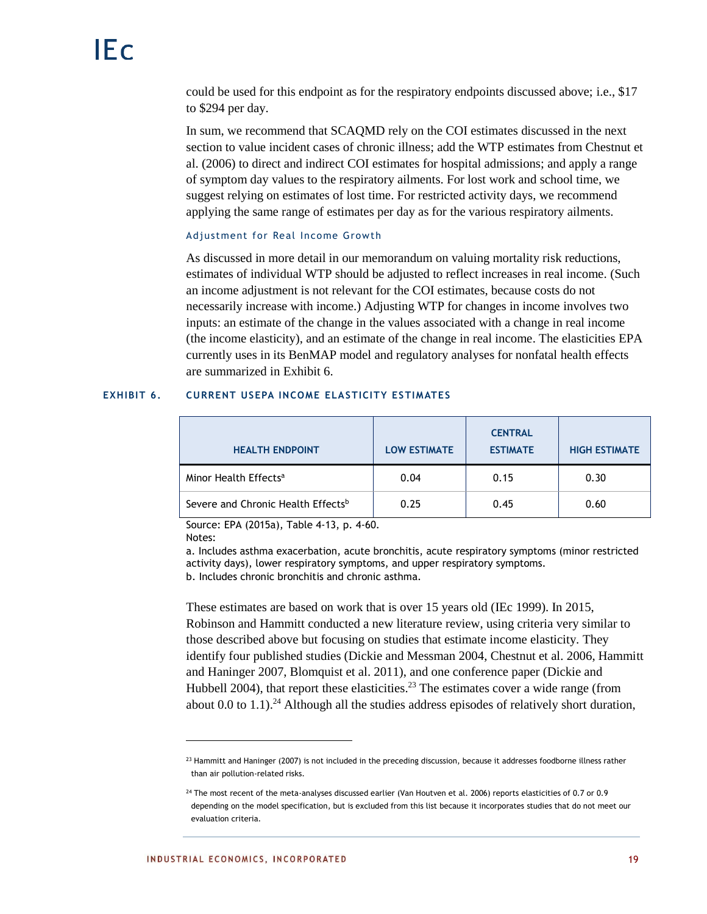could be used for this endpoint as for the respiratory endpoints discussed above; i.e., \$17 to \$294 per day.

In sum, we recommend that SCAQMD rely on the COI estimates discussed in the next section to value incident cases of chronic illness; add the WTP estimates from Chestnut et al. (2006) to direct and indirect COI estimates for hospital admissions; and apply a range of symptom day values to the respiratory ailments. For lost work and school time, we suggest relying on estimates of lost time. For restricted activity days, we recommend applying the same range of estimates per day as for the various respiratory ailments.

## Adjustment for Real Income Growth

As discussed in more detail in our memorandum on valuing mortality risk reductions, estimates of individual WTP should be adjusted to reflect increases in real income. (Such an income adjustment is not relevant for the COI estimates, because costs do not necessarily increase with income.) Adjusting WTP for changes in income involves two inputs: an estimate of the change in the values associated with a change in real income (the income elasticity), and an estimate of the change in real income. The elasticities EPA currently uses in its BenMAP model and regulatory analyses for nonfatal health effects are summarized in Exhibit 6.

## **EXHIBIT 6. CURRENT USEPA INCOME ELASTICITY ESTIMATES**

| <b>HEALTH ENDPOINT</b>             | <b>LOW ESTIMATE</b> | <b>CENTRAL</b><br><b>ESTIMATE</b> | <b>HIGH ESTIMATE</b> |
|------------------------------------|---------------------|-----------------------------------|----------------------|
| Minor Health Effects <sup>a</sup>  | 0.04                | 0.15                              | 0.30                 |
| Severe and Chronic Health Effectsb | 0.25                | 0.45                              | 0.60                 |

Source: EPA (2015a), Table 4-13, p. 4-60.

Notes:

l

a. Includes asthma exacerbation, acute bronchitis, acute respiratory symptoms (minor restricted activity days), lower respiratory symptoms, and upper respiratory symptoms. b. Includes chronic bronchitis and chronic asthma.

These estimates are based on work that is over 15 years old (IEc 1999). In 2015, Robinson and Hammitt conducted a new literature review, using criteria very similar to those described above but focusing on studies that estimate income elasticity. They identify four published studies (Dickie and Messman 2004, Chestnut et al. 2006, Hammitt and Haninger 2007, Blomquist et al. 2011), and one conference paper (Dickie and Hubbell 2004), that report these elasticities.<sup>23</sup> The estimates cover a wide range (from about  $0.0$  to  $1.1$ ).<sup>24</sup> Although all the studies address episodes of relatively short duration,

<sup>&</sup>lt;sup>23</sup> Hammitt and Haninger (2007) is not included in the preceding discussion, because it addresses foodborne illness rather than air pollution-related risks.

<sup>&</sup>lt;sup>24</sup> The most recent of the meta-analyses discussed earlier (Van Houtven et al. 2006) reports elasticities of 0.7 or 0.9 depending on the model specification, but is excluded from this list because it incorporates studies that do not meet our evaluation criteria.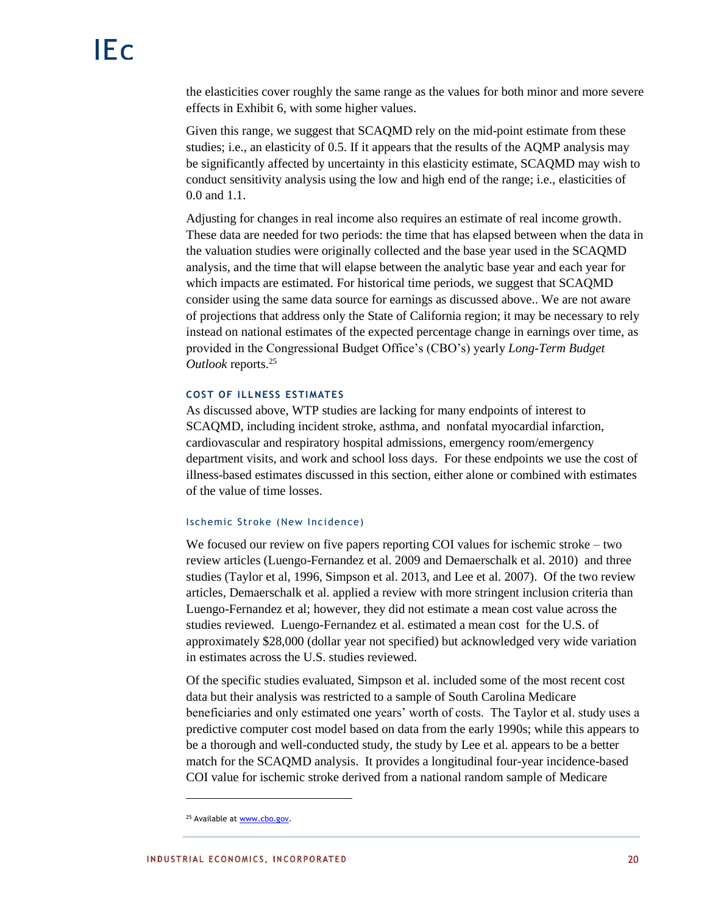the elasticities cover roughly the same range as the values for both minor and more severe effects in Exhibit 6, with some higher values.

Given this range, we suggest that SCAQMD rely on the mid-point estimate from these studies; i.e., an elasticity of 0.5. If it appears that the results of the AQMP analysis may be significantly affected by uncertainty in this elasticity estimate, SCAQMD may wish to conduct sensitivity analysis using the low and high end of the range; i.e., elasticities of 0.0 and 1.1.

Adjusting for changes in real income also requires an estimate of real income growth. These data are needed for two periods: the time that has elapsed between when the data in the valuation studies were originally collected and the base year used in the SCAQMD analysis, and the time that will elapse between the analytic base year and each year for which impacts are estimated. For historical time periods, we suggest that SCAQMD consider using the same data source for earnings as discussed above.. We are not aware of projections that address only the State of California region; it may be necessary to rely instead on national estimates of the expected percentage change in earnings over time, as provided in the Congressional Budget Office's (CBO's) yearly *Long-Term Budget Outlook* reports.<sup>25</sup>

## **COST OF ILLNESS ESTIMATES**

As discussed above, WTP studies are lacking for many endpoints of interest to SCAQMD, including incident stroke, asthma, and nonfatal myocardial infarction, cardiovascular and respiratory hospital admissions, emergency room/emergency department visits, and work and school loss days. For these endpoints we use the cost of illness-based estimates discussed in this section, either alone or combined with estimates of the value of time losses.

## Ischemic Stroke (New Incidence)

We focused our review on five papers reporting COI values for ischemic stroke – two review articles (Luengo-Fernandez et al. 2009 and Demaerschalk et al. 2010) and three studies (Taylor et al, 1996, Simpson et al. 2013, and Lee et al. 2007). Of the two review articles, Demaerschalk et al. applied a review with more stringent inclusion criteria than Luengo-Fernandez et al; however, they did not estimate a mean cost value across the studies reviewed. Luengo-Fernandez et al. estimated a mean cost for the U.S. of approximately \$28,000 (dollar year not specified) but acknowledged very wide variation in estimates across the U.S. studies reviewed.

Of the specific studies evaluated, Simpson et al. included some of the most recent cost data but their analysis was restricted to a sample of South Carolina Medicare beneficiaries and only estimated one years' worth of costs. The Taylor et al. study uses a predictive computer cost model based on data from the early 1990s; while this appears to be a thorough and well-conducted study, the study by Lee et al. appears to be a better match for the SCAQMD analysis. It provides a longitudinal four-year incidence-based COI value for ischemic stroke derived from a national random sample of Medicare

<sup>25</sup> Available a[t www.cbo.gov.](http://www.cbo.gov/)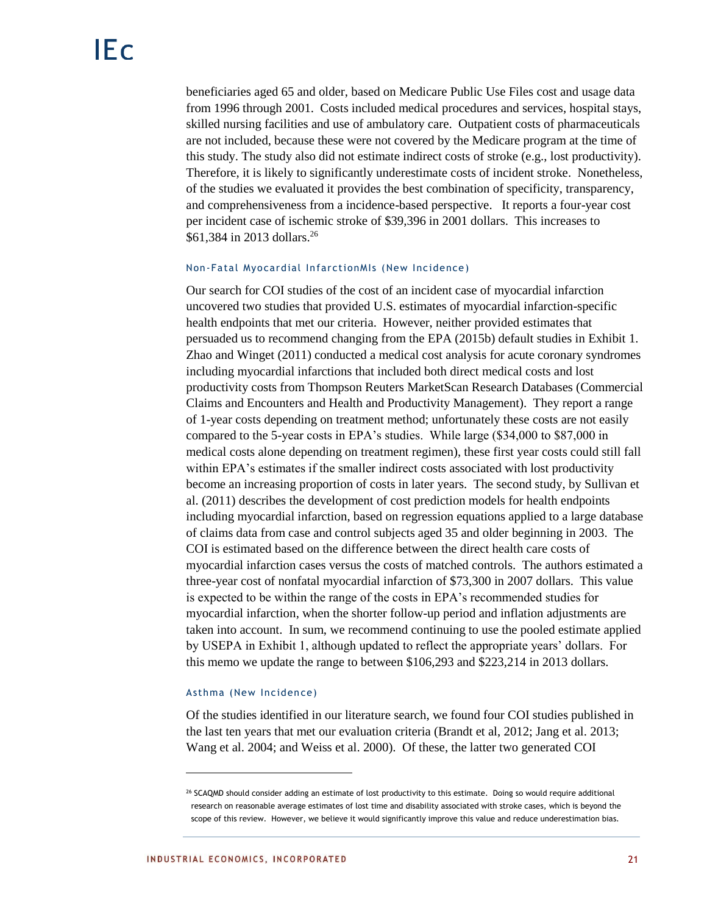beneficiaries aged 65 and older, based on Medicare Public Use Files cost and usage data from 1996 through 2001. Costs included medical procedures and services, hospital stays, skilled nursing facilities and use of ambulatory care. Outpatient costs of pharmaceuticals are not included, because these were not covered by the Medicare program at the time of this study. The study also did not estimate indirect costs of stroke (e.g., lost productivity). Therefore, it is likely to significantly underestimate costs of incident stroke. Nonetheless, of the studies we evaluated it provides the best combination of specificity, transparency, and comprehensiveness from a incidence-based perspective. It reports a four-year cost per incident case of ischemic stroke of \$39,396 in 2001 dollars. This increases to \$61,384 in 2013 dollars.<sup>26</sup>

#### Non-Fatal Myocardial InfarctionMIs (New Incidence)

Our search for COI studies of the cost of an incident case of myocardial infarction uncovered two studies that provided U.S. estimates of myocardial infarction-specific health endpoints that met our criteria. However, neither provided estimates that persuaded us to recommend changing from the EPA (2015b) default studies in Exhibit 1. Zhao and Winget (2011) conducted a medical cost analysis for acute coronary syndromes including myocardial infarctions that included both direct medical costs and lost productivity costs from Thompson Reuters MarketScan Research Databases (Commercial Claims and Encounters and Health and Productivity Management). They report a range of 1-year costs depending on treatment method; unfortunately these costs are not easily compared to the 5-year costs in EPA's studies. While large (\$34,000 to \$87,000 in medical costs alone depending on treatment regimen), these first year costs could still fall within EPA's estimates if the smaller indirect costs associated with lost productivity become an increasing proportion of costs in later years. The second study, by Sullivan et al. (2011) describes the development of cost prediction models for health endpoints including myocardial infarction, based on regression equations applied to a large database of claims data from case and control subjects aged 35 and older beginning in 2003. The COI is estimated based on the difference between the direct health care costs of myocardial infarction cases versus the costs of matched controls. The authors estimated a three-year cost of nonfatal myocardial infarction of \$73,300 in 2007 dollars. This value is expected to be within the range of the costs in EPA's recommended studies for myocardial infarction, when the shorter follow-up period and inflation adjustments are taken into account. In sum, we recommend continuing to use the pooled estimate applied by USEPA in Exhibit 1, although updated to reflect the appropriate years' dollars. For this memo we update the range to between \$106,293 and \$223,214 in 2013 dollars.

#### Asthma (New Incidence)

Of the studies identified in our literature search, we found four COI studies published in the last ten years that met our evaluation criteria (Brandt et al, 2012; Jang et al. 2013; Wang et al. 2004; and Weiss et al. 2000). Of these, the latter two generated COI

<sup>&</sup>lt;sup>26</sup> SCAQMD should consider adding an estimate of lost productivity to this estimate. Doing so would require additional research on reasonable average estimates of lost time and disability associated with stroke cases, which is beyond the scope of this review. However, we believe it would significantly improve this value and reduce underestimation bias.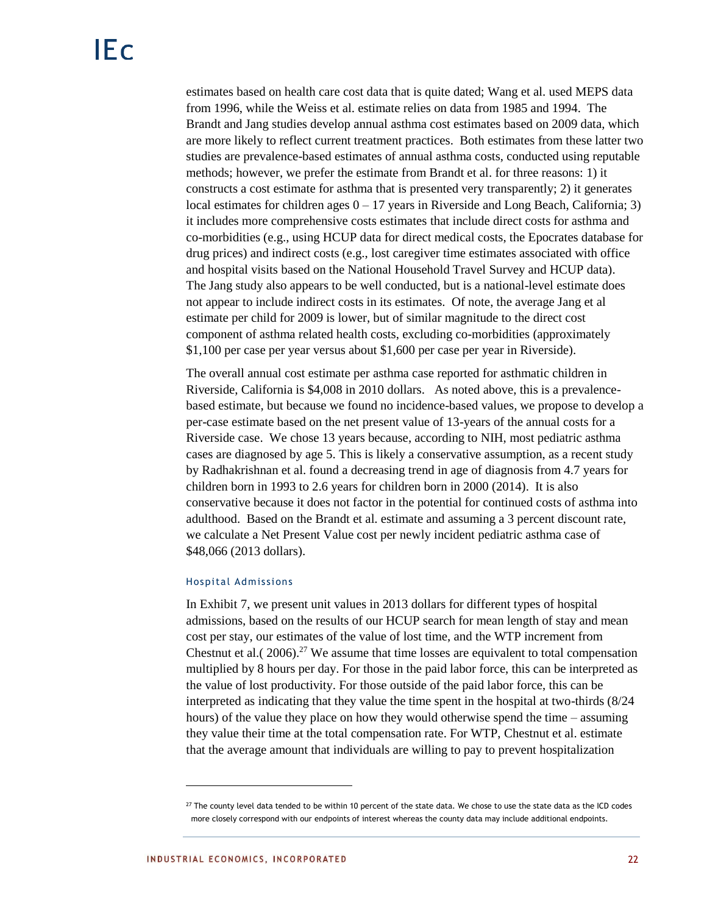estimates based on health care cost data that is quite dated; Wang et al. used MEPS data from 1996, while the Weiss et al. estimate relies on data from 1985 and 1994. The Brandt and Jang studies develop annual asthma cost estimates based on 2009 data, which are more likely to reflect current treatment practices. Both estimates from these latter two studies are prevalence-based estimates of annual asthma costs, conducted using reputable methods; however, we prefer the estimate from Brandt et al. for three reasons: 1) it constructs a cost estimate for asthma that is presented very transparently; 2) it generates local estimates for children ages  $0 - 17$  years in Riverside and Long Beach, California; 3) it includes more comprehensive costs estimates that include direct costs for asthma and co-morbidities (e.g., using HCUP data for direct medical costs, the Epocrates database for drug prices) and indirect costs (e.g., lost caregiver time estimates associated with office and hospital visits based on the National Household Travel Survey and HCUP data). The Jang study also appears to be well conducted, but is a national-level estimate does not appear to include indirect costs in its estimates. Of note, the average Jang et al estimate per child for 2009 is lower, but of similar magnitude to the direct cost component of asthma related health costs, excluding co-morbidities (approximately \$1,100 per case per year versus about \$1,600 per case per year in Riverside).

The overall annual cost estimate per asthma case reported for asthmatic children in Riverside, California is \$4,008 in 2010 dollars. As noted above, this is a prevalencebased estimate, but because we found no incidence-based values, we propose to develop a per-case estimate based on the net present value of 13-years of the annual costs for a Riverside case. We chose 13 years because, according to NIH, most pediatric asthma cases are diagnosed by age 5. This is likely a conservative assumption, as a recent study by Radhakrishnan et al. found a decreasing trend in age of diagnosis from 4.7 years for children born in 1993 to 2.6 years for children born in 2000 (2014). It is also conservative because it does not factor in the potential for continued costs of asthma into adulthood. Based on the Brandt et al. estimate and assuming a 3 percent discount rate, we calculate a Net Present Value cost per newly incident pediatric asthma case of \$48,066 (2013 dollars).

#### Hospital Admissions

In Exhibit 7, we present unit values in 2013 dollars for different types of hospital admissions, based on the results of our HCUP search for mean length of stay and mean cost per stay, our estimates of the value of lost time, and the WTP increment from Chestnut et al.  $(2006).^{27}$  We assume that time losses are equivalent to total compensation multiplied by 8 hours per day. For those in the paid labor force, this can be interpreted as the value of lost productivity. For those outside of the paid labor force, this can be interpreted as indicating that they value the time spent in the hospital at two-thirds (8/24 hours) of the value they place on how they would otherwise spend the time – assuming they value their time at the total compensation rate. For WTP, Chestnut et al. estimate that the average amount that individuals are willing to pay to prevent hospitalization

<sup>&</sup>lt;sup>27</sup> The county level data tended to be within 10 percent of the state data. We chose to use the state data as the ICD codes more closely correspond with our endpoints of interest whereas the county data may include additional endpoints.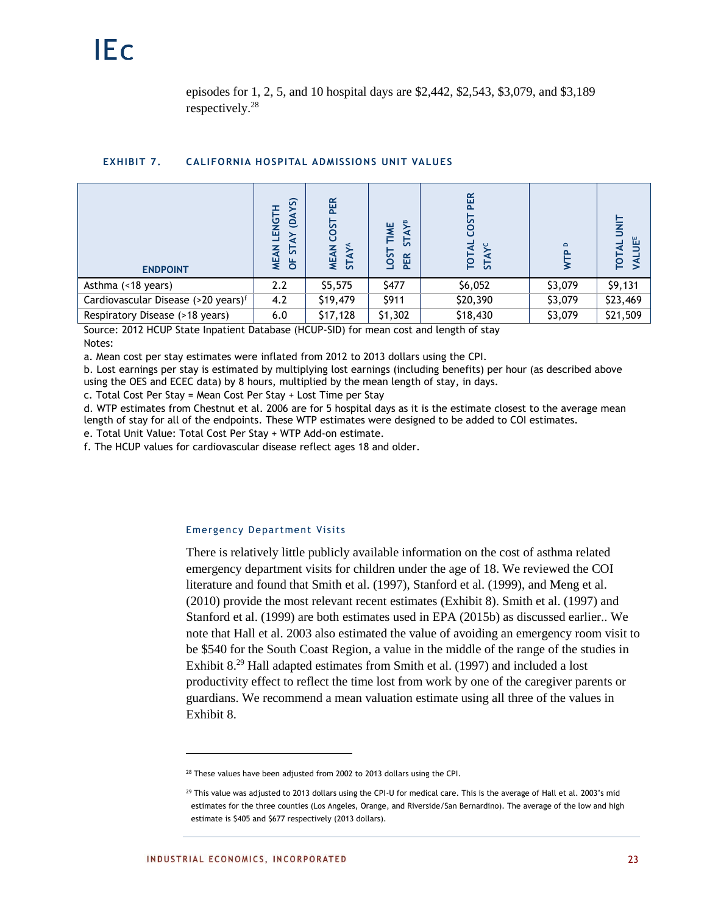episodes for 1, 2, 5, and 10 hospital days are \$2,442, \$2,543, \$3,079, and \$3,189 respectively.<sup>28</sup>

#### **EXHIBIT 7. CALIFORNIA HOSPITAL ADMISSIONS UNIT VALUES**

| <b>ENDPOINT</b>                                 | YS)<br><b>TENGTH</b><br>$\mathbf{d}$<br>$\geq$<br>¥<br>능<br>¥<br>b <sup>*</sup> | PER<br><b>COST</b><br><b>STAYA</b><br><b>MEAN</b> | AYB<br>TIME<br>5<br><b>LOST</b><br>PER | PER<br><b>COST</b><br>₹<br>TOT<br><b>STA</b> | $\Omega$ | ш<br>īот |
|-------------------------------------------------|---------------------------------------------------------------------------------|---------------------------------------------------|----------------------------------------|----------------------------------------------|----------|----------|
| Asthma (<18 years)                              | 2.2                                                                             | \$5,575                                           | \$477                                  | \$6,052                                      | \$3,079  | \$9,131  |
| Cardiovascular Disease (>20 years) <sup>f</sup> | 4.2                                                                             | \$19,479                                          | \$911                                  | \$20,390                                     | \$3,079  | \$23,469 |
| Respiratory Disease (>18 years)                 | 6.0                                                                             | \$17,128                                          | \$1,302                                | \$18,430                                     | \$3,079  | \$21,509 |

Source: 2012 HCUP State Inpatient Database (HCUP-SID) for mean cost and length of stay Notes:

a. Mean cost per stay estimates were inflated from 2012 to 2013 dollars using the CPI.

b. Lost earnings per stay is estimated by multiplying lost earnings (including benefits) per hour (as described above using the OES and ECEC data) by 8 hours, multiplied by the mean length of stay, in days.

c. Total Cost Per Stay = Mean Cost Per Stay + Lost Time per Stay

d. WTP estimates from Chestnut et al. 2006 are for 5 hospital days as it is the estimate closest to the average mean length of stay for all of the endpoints. These WTP estimates were designed to be added to COI estimates.

e. Total Unit Value: Total Cost Per Stay + WTP Add-on estimate.

f. The HCUP values for cardiovascular disease reflect ages 18 and older.

#### Emergency Department Visits

There is relatively little publicly available information on the cost of asthma related emergency department visits for children under the age of 18. We reviewed the COI literature and found that Smith et al. (1997), Stanford et al. (1999), and Meng et al. (2010) provide the most relevant recent estimates (Exhibit 8). Smith et al. (1997) and Stanford et al. (1999) are both estimates used in EPA (2015b) as discussed earlier.. We note that Hall et al. 2003 also estimated the value of avoiding an emergency room visit to be \$540 for the South Coast Region, a value in the middle of the range of the studies in Exhibit 8.<sup>29</sup> Hall adapted estimates from Smith et al. (1997) and included a lost productivity effect to reflect the time lost from work by one of the caregiver parents or guardians. We recommend a mean valuation estimate using all three of the values in Exhibit 8.

 $\overline{\phantom{a}}$ 

<sup>&</sup>lt;sup>28</sup> These values have been adjusted from 2002 to 2013 dollars using the CPI.

 $^{29}$  This value was adjusted to 2013 dollars using the CPI-U for medical care. This is the average of Hall et al. 2003's mid estimates for the three counties (Los Angeles, Orange, and Riverside/San Bernardino). The average of the low and high estimate is \$405 and \$677 respectively (2013 dollars).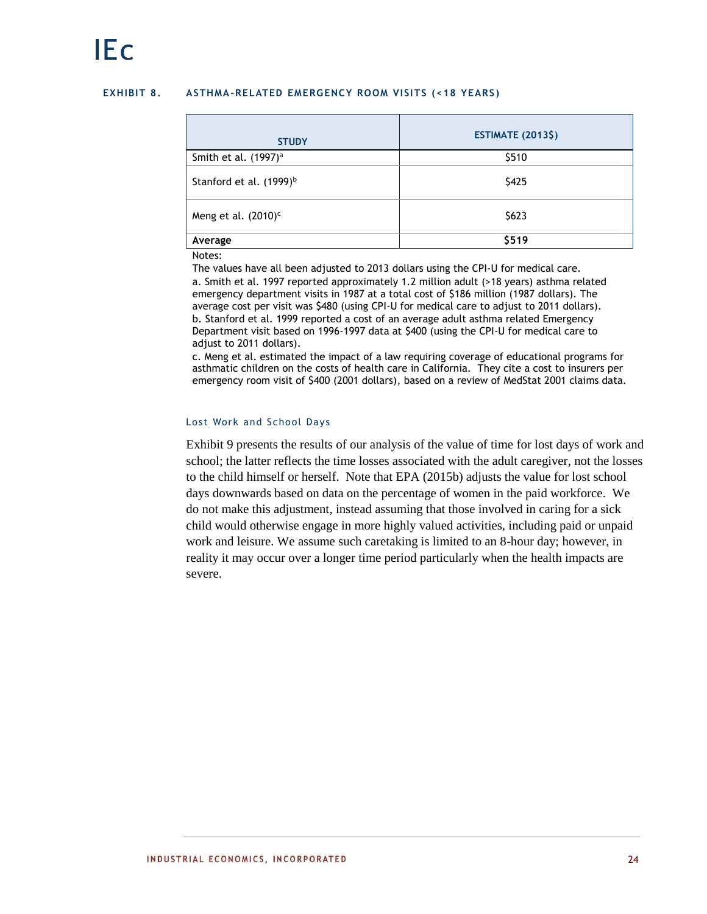### **EXHIBIT 8. ASTHMA-RELATED EMERGENCY ROOM VISITS (<18 YEARS )**

| <b>STUDY</b>                        | <b>ESTIMATE (2013\$)</b> |
|-------------------------------------|--------------------------|
| Smith et al. (1997) <sup>a</sup>    | \$510                    |
| Stanford et al. (1999) <sup>b</sup> | \$425                    |
| Meng et al. $(2010)^c$              | \$623                    |
| Average                             | \$519                    |

#### Notes:

The values have all been adjusted to 2013 dollars using the CPI-U for medical care. a. Smith et al. 1997 reported approximately 1.2 million adult (>18 years) asthma related emergency department visits in 1987 at a total cost of \$186 million (1987 dollars). The average cost per visit was \$480 (using CPI-U for medical care to adjust to 2011 dollars). b. Stanford et al. 1999 reported a cost of an average adult asthma related Emergency Department visit based on 1996-1997 data at \$400 (using the CPI-U for medical care to adjust to 2011 dollars).

c. Meng et al. estimated the impact of a law requiring coverage of educational programs for asthmatic children on the costs of health care in California. They cite a cost to insurers per emergency room visit of \$400 (2001 dollars), based on a review of MedStat 2001 claims data.

## Lost Work and School Days

Exhibit 9 presents the results of our analysis of the value of time for lost days of work and school; the latter reflects the time losses associated with the adult caregiver, not the losses to the child himself or herself. Note that EPA (2015b) adjusts the value for lost school days downwards based on data on the percentage of women in the paid workforce. We do not make this adjustment, instead assuming that those involved in caring for a sick child would otherwise engage in more highly valued activities, including paid or unpaid work and leisure. We assume such caretaking is limited to an 8-hour day; however, in reality it may occur over a longer time period particularly when the health impacts are severe.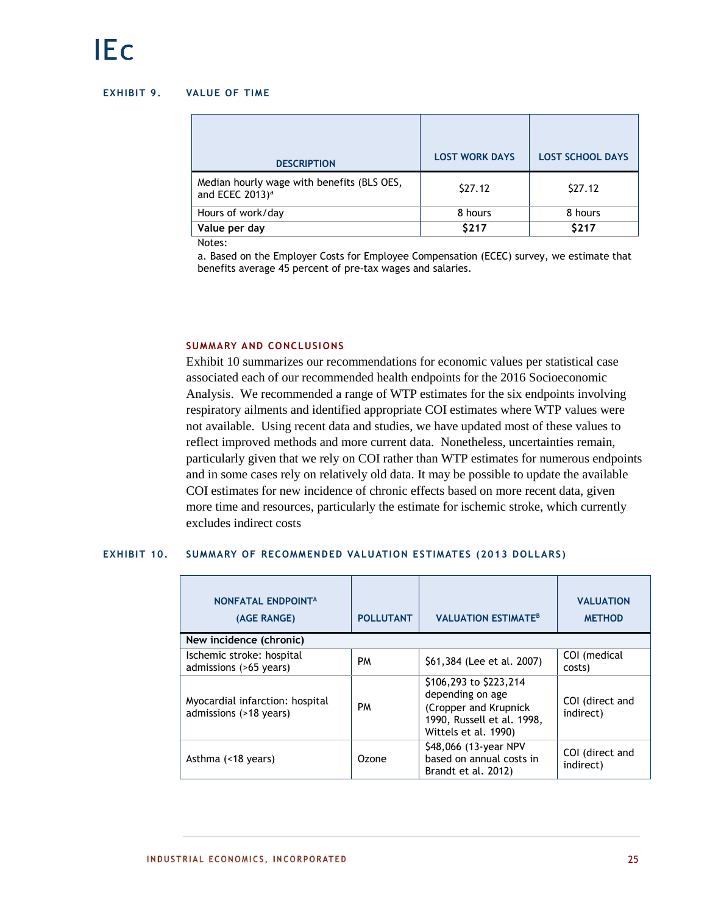## **EXHIBIT 9. VALUE OF TIME**

| <b>DESCRIPTION</b>                                                        | <b>LOST WORK DAYS</b> | <b>LOST SCHOOL DAYS</b> |
|---------------------------------------------------------------------------|-----------------------|-------------------------|
| Median hourly wage with benefits (BLS OES,<br>and ECEC 2013) <sup>a</sup> | \$27.12               | \$27.12                 |
| Hours of work/day                                                         | 8 hours               | 8 hours                 |
| Value per day                                                             | \$217                 | \$217                   |

Notes:

a. Based on the Employer Costs for Employee Compensation (ECEC) survey, we estimate that benefits average 45 percent of pre-tax wages and salaries.

## **SUMMARY AND CONCLUSIONS**

Exhibit 10 summarizes our recommendations for economic values per statistical case associated each of our recommended health endpoints for the 2016 Socioeconomic Analysis. We recommended a range of WTP estimates for the six endpoints involving respiratory ailments and identified appropriate COI estimates where WTP values were not available. Using recent data and studies, we have updated most of these values to reflect improved methods and more current data. Nonetheless, uncertainties remain, particularly given that we rely on COI rather than WTP estimates for numerous endpoints and in some cases rely on relatively old data. It may be possible to update the available COI estimates for new incidence of chronic effects based on more recent data, given more time and resources, particularly the estimate for ischemic stroke, which currently excludes indirect costs

## **EXHIBIT 10. SUMMARY OF RECOMMENDED VALUATION ESTIMATES (2013 DOLLARS)**

| NONFATAL ENDPOINT <sup>A</sup><br>(AGE RANGE)             | <b>POLLUTANT</b> | <b>VALUATION ESTIMATE<sup>B</sup></b>                                                                                     | <b>VALUATION</b><br><b>METHOD</b> |
|-----------------------------------------------------------|------------------|---------------------------------------------------------------------------------------------------------------------------|-----------------------------------|
| New incidence (chronic)                                   |                  |                                                                                                                           |                                   |
| Ischemic stroke: hospital<br>admissions (>65 years)       | <b>PM</b>        | \$61,384 (Lee et al. 2007)                                                                                                | COI (medical<br>costs)            |
| Myocardial infarction: hospital<br>admissions (>18 years) | <b>PM</b>        | \$106,293 to \$223,214<br>depending on age<br>(Cropper and Krupnick<br>1990, Russell et al. 1998,<br>Wittels et al. 1990) | COI (direct and<br>indirect)      |
| Asthma (<18 years)                                        | Ozone            | \$48,066 (13-year NPV<br>based on annual costs in<br>Brandt et al. 2012)                                                  | COI (direct and<br>indirect)      |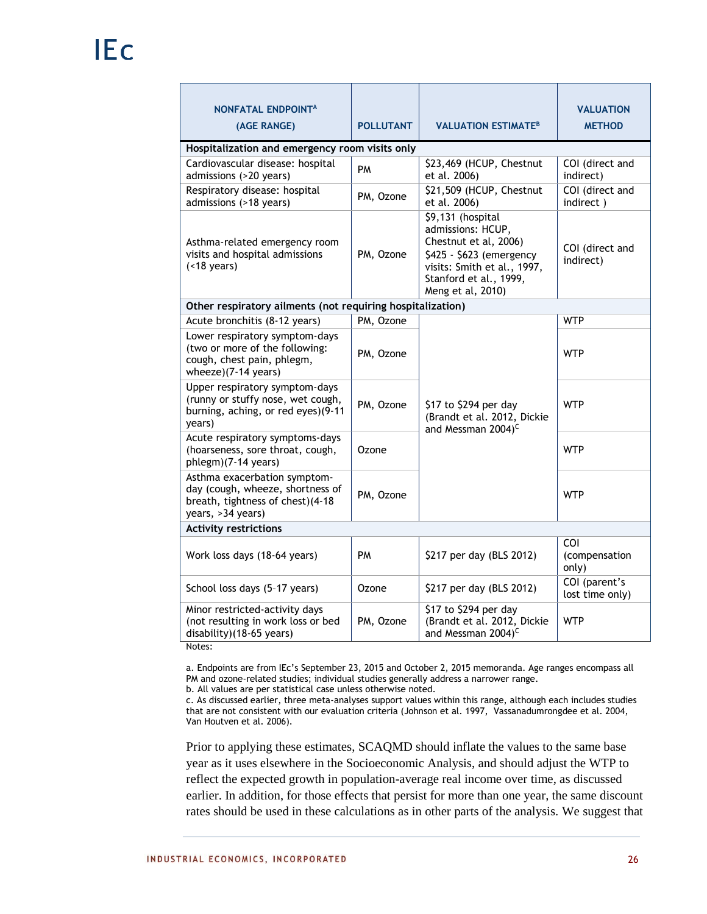| <b>NONFATAL ENDPOINTA</b><br>(AGE RANGE)                                                                                  | <b>POLLUTANT</b> | <b>VALUATION ESTIMATE<sup>B</sup></b>                                                                                                                                     | <b>VALUATION</b><br><b>METHOD</b> |
|---------------------------------------------------------------------------------------------------------------------------|------------------|---------------------------------------------------------------------------------------------------------------------------------------------------------------------------|-----------------------------------|
| Hospitalization and emergency room visits only                                                                            |                  |                                                                                                                                                                           |                                   |
| Cardiovascular disease: hospital<br>admissions (>20 years)                                                                | <b>PM</b>        | \$23,469 (HCUP, Chestnut<br>et al. 2006)                                                                                                                                  | COI (direct and<br>indirect)      |
| Respiratory disease: hospital<br>admissions (>18 years)                                                                   | PM, Ozone        | \$21,509 (HCUP, Chestnut<br>et al. 2006)                                                                                                                                  | COI (direct and<br>indirect)      |
| Asthma-related emergency room<br>visits and hospital admissions<br>$($ < 18 years)                                        | PM, Ozone        | \$9,131 (hospital<br>admissions: HCUP,<br>Chestnut et al, 2006)<br>\$425 - \$623 (emergency<br>visits: Smith et al., 1997,<br>Stanford et al., 1999,<br>Meng et al, 2010) | COI (direct and<br>indirect)      |
| Other respiratory ailments (not requiring hospitalization)                                                                |                  |                                                                                                                                                                           |                                   |
| Acute bronchitis (8-12 years)                                                                                             | PM, Ozone        |                                                                                                                                                                           | <b>WTP</b>                        |
| Lower respiratory symptom-days<br>(two or more of the following:<br>cough, chest pain, phlegm,<br>wheeze)(7-14 years)     | PM, Ozone        |                                                                                                                                                                           | <b>WTP</b>                        |
| Upper respiratory symptom-days<br>(runny or stuffy nose, wet cough,<br>burning, aching, or red eyes)(9-11<br>years)       | PM, Ozone        | \$17 to \$294 per day<br>(Brandt et al. 2012, Dickie<br>and Messman 2004) <sup>C</sup>                                                                                    | <b>WTP</b>                        |
| Acute respiratory symptoms-days<br>(hoarseness, sore throat, cough,<br>phlegm)(7-14 years)                                | Ozone            |                                                                                                                                                                           | <b>WTP</b>                        |
| Asthma exacerbation symptom-<br>day (cough, wheeze, shortness of<br>breath, tightness of chest)(4-18<br>years, >34 years) | PM, Ozone        |                                                                                                                                                                           | <b>WTP</b>                        |
| <b>Activity restrictions</b>                                                                                              |                  |                                                                                                                                                                           |                                   |
| Work loss days (18-64 years)                                                                                              | <b>PM</b>        | \$217 per day (BLS 2012)                                                                                                                                                  | COI<br>(compensation<br>only)     |
| School loss days (5-17 years)                                                                                             | Ozone            | \$217 per day (BLS 2012)                                                                                                                                                  | COI (parent's<br>lost time only)  |
| Minor restricted-activity days<br>(not resulting in work loss or bed<br>disability)(18-65 years)                          | PM, Ozone        | \$17 to \$294 per day<br>(Brandt et al. 2012, Dickie<br>and Messman 2004) <sup>C</sup>                                                                                    | <b>WTP</b>                        |

Notes:

a. Endpoints are from IEc's September 23, 2015 and October 2, 2015 memoranda. Age ranges encompass all PM and ozone-related studies; individual studies generally address a narrower range.

b. All values are per statistical case unless otherwise noted.

c. As discussed earlier, three meta-analyses support values within this range, although each includes studies that are not consistent with our evaluation criteria (Johnson et al. 1997, Vassanadumrongdee et al. 2004, Van Houtven et al. 2006).

Prior to applying these estimates, SCAQMD should inflate the values to the same base year as it uses elsewhere in the Socioeconomic Analysis, and should adjust the WTP to reflect the expected growth in population-average real income over time, as discussed earlier. In addition, for those effects that persist for more than one year, the same discount rates should be used in these calculations as in other parts of the analysis. We suggest that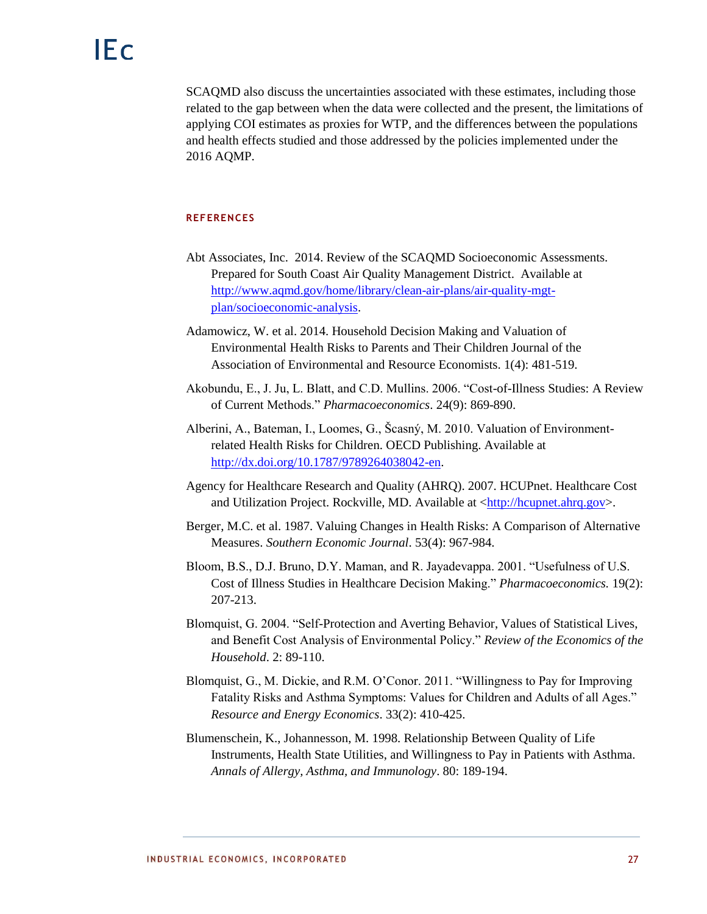SCAQMD also discuss the uncertainties associated with these estimates, including those related to the gap between when the data were collected and the present, the limitations of applying COI estimates as proxies for WTP, and the differences between the populations and health effects studied and those addressed by the policies implemented under the 2016 AQMP.

## **REFERENCES**

- Abt Associates, Inc. 2014. Review of the SCAQMD Socioeconomic Assessments. Prepared for South Coast Air Quality Management District. Available at [http://www.aqmd.gov/home/library/clean-air-plans/air-quality-mgt](http://www.aqmd.gov/home/library/clean-air-plans/air-quality-mgt-plan/socioeconomic-analysis)[plan/socioeconomic-analysis.](http://www.aqmd.gov/home/library/clean-air-plans/air-quality-mgt-plan/socioeconomic-analysis)
- Adamowicz, W. et al. 2014. Household Decision Making and Valuation of Environmental Health Risks to Parents and Their Children Journal of the Association of Environmental and Resource Economists. 1(4): 481-519.
- Akobundu, E., J. Ju, L. Blatt, and C.D. Mullins. 2006. "Cost-of-Illness Studies: A Review of Current Methods." *Pharmacoeconomics*. 24(9): 869-890.
- Alberini, A., Bateman, I., Loomes, G., Šcasný, M. 2010. Valuation of Environmentrelated Health Risks for Children. OECD Publishing. Available at [http://dx.doi.org/10.1787/9789264038042-en.](http://dx.doi.org/10.1787/9789264038042-en)
- Agency for Healthcare Research and Quality (AHRQ). 2007. HCUPnet. Healthcare Cost and Utilization Project. Rockville, MD. Available at [<http://hcupnet.ahrq.gov>](http://hcupnet.ahrq.gov/).
- Berger, M.C. et al. 1987. Valuing Changes in Health Risks: A Comparison of Alternative Measures. *Southern Economic Journal*. 53(4): 967-984.
- Bloom, B.S., D.J. Bruno, D.Y. Maman, and R. Jayadevappa. 2001. "Usefulness of U.S. Cost of Illness Studies in Healthcare Decision Making." *Pharmacoeconomics.* 19(2): 207-213.
- Blomquist, G. 2004. "Self-Protection and Averting Behavior, Values of Statistical Lives, and Benefit Cost Analysis of Environmental Policy." *Review of the Economics of the Household*. 2: 89-110.
- Blomquist, G., M. Dickie, and R.M. O'Conor. 2011. "Willingness to Pay for Improving Fatality Risks and Asthma Symptoms: Values for Children and Adults of all Ages." *Resource and Energy Economics*. 33(2): 410-425.
- Blumenschein, K., Johannesson, M. 1998. Relationship Between Quality of Life Instruments, Health State Utilities, and Willingness to Pay in Patients with Asthma. *Annals of Allergy, Asthma, and Immunology*. 80: 189-194.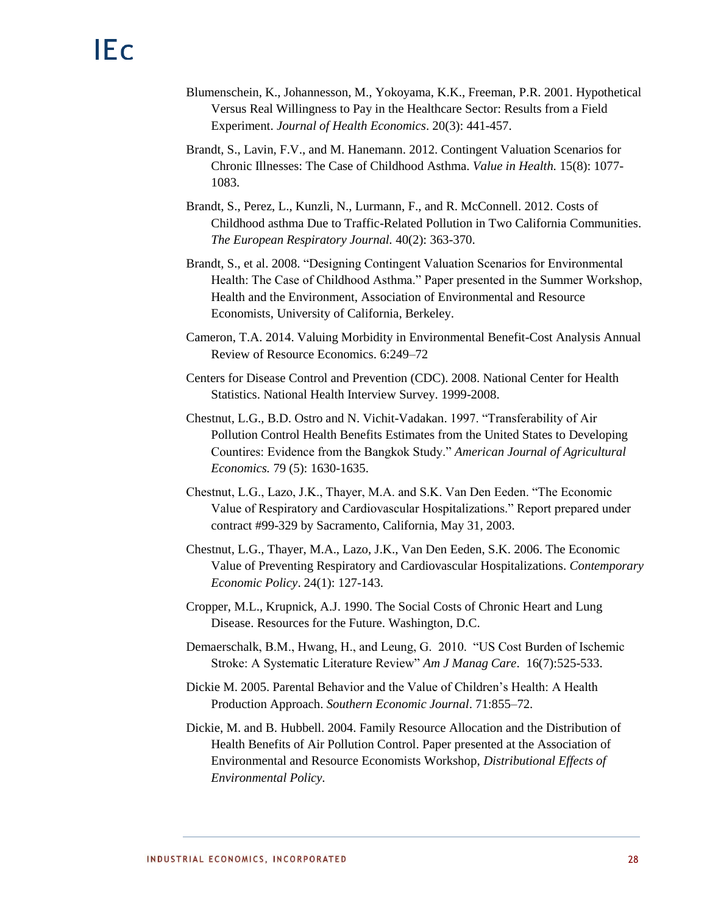- Blumenschein, K., Johannesson, M., Yokoyama, K.K., Freeman, P.R. 2001. Hypothetical Versus Real Willingness to Pay in the Healthcare Sector: Results from a Field Experiment. *Journal of Health Economics*. 20(3): 441-457.
- Brandt, S., Lavin, F.V., and M. Hanemann. 2012. Contingent Valuation Scenarios for Chronic Illnesses: The Case of Childhood Asthma. *Value in Health.* 15(8): 1077- 1083.
- Brandt, S., Perez, L., Kunzli, N., Lurmann, F., and R. McConnell. 2012. Costs of Childhood asthma Due to Traffic-Related Pollution in Two California Communities. *The European Respiratory Journal.* 40(2): 363-370.
- Brandt, S., et al. 2008. "Designing Contingent Valuation Scenarios for Environmental Health: The Case of Childhood Asthma." Paper presented in the Summer Workshop, Health and the Environment, Association of Environmental and Resource Economists, University of California, Berkeley.
- Cameron, T.A. 2014. Valuing Morbidity in Environmental Benefit-Cost Analysis Annual Review of Resource Economics. 6:249–72
- Centers for Disease Control and Prevention (CDC). 2008. National Center for Health Statistics. National Health Interview Survey. 1999-2008.
- Chestnut, L.G., B.D. Ostro and N. Vichit-Vadakan. 1997. "Transferability of Air Pollution Control Health Benefits Estimates from the United States to Developing Countires: Evidence from the Bangkok Study." *American Journal of Agricultural Economics.* 79 (5): 1630-1635.
- Chestnut, L.G., Lazo, J.K., Thayer, M.A. and S.K. Van Den Eeden. "The Economic Value of Respiratory and Cardiovascular Hospitalizations." Report prepared under contract #99-329 by Sacramento, California, May 31, 2003.
- Chestnut, L.G., Thayer, M.A., Lazo, J.K., Van Den Eeden, S.K. 2006. The Economic Value of Preventing Respiratory and Cardiovascular Hospitalizations. *Contemporary Economic Policy*. 24(1): 127-143.
- Cropper, M.L., Krupnick, A.J. 1990. The Social Costs of Chronic Heart and Lung Disease. Resources for the Future. Washington, D.C.
- Demaerschalk, B.M., Hwang, H., and Leung, G. 2010. "US Cost Burden of Ischemic Stroke: A Systematic Literature Review" *Am J Manag Care*. 16(7):525-533.
- Dickie M. 2005. Parental Behavior and the Value of Children's Health: A Health Production Approach. *Southern Economic Journal*. 71:855–72.
- Dickie, M. and B. Hubbell. 2004. Family Resource Allocation and the Distribution of Health Benefits of Air Pollution Control. Paper presented at the Association of Environmental and Resource Economists Workshop, *Distributional Effects of Environmental Policy.*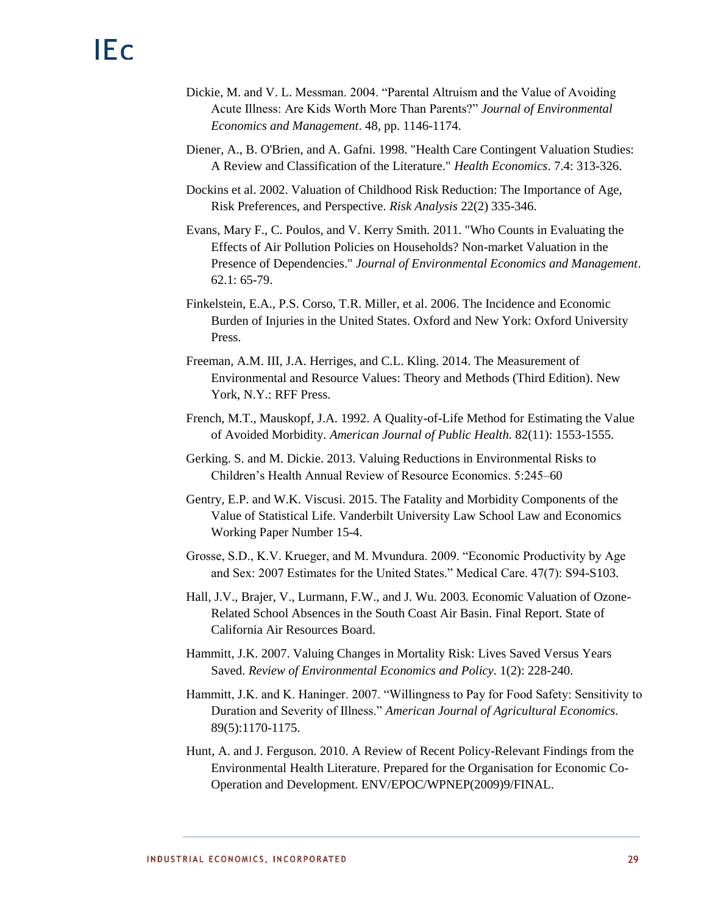- Dickie, M. and V. L. Messman. 2004. "Parental Altruism and the Value of Avoiding Acute Illness: Are Kids Worth More Than Parents?" *Journal of Environmental Economics and Management*. 48, pp. 1146-1174.
- Diener, A., B. O'Brien, and A. Gafni. 1998. "Health Care Contingent Valuation Studies: A Review and Classification of the Literature." *Health Economics*. 7.4: 313-326.
- Dockins et al. 2002. Valuation of Childhood Risk Reduction: The Importance of Age, Risk Preferences, and Perspective. *Risk Analysis* 22(2) 335-346.
- Evans, Mary F., C. Poulos, and V. Kerry Smith. 2011. "Who Counts in Evaluating the Effects of Air Pollution Policies on Households? Non-market Valuation in the Presence of Dependencies." *Journal of Environmental Economics and Management*. 62.1: 65-79.
- Finkelstein, E.A., P.S. Corso, T.R. Miller, et al. 2006. The Incidence and Economic Burden of Injuries in the United States. Oxford and New York: Oxford University Press.
- Freeman, A.M. III, J.A. Herriges, and C.L. Kling. 2014. The Measurement of Environmental and Resource Values: Theory and Methods (Third Edition). New York, N.Y.: RFF Press.
- French, M.T., Mauskopf, J.A. 1992. A Quality-of-Life Method for Estimating the Value of Avoided Morbidity. *American Journal of Public Health.* 82(11): 1553-1555.
- Gerking. S. and M. Dickie. 2013. Valuing Reductions in Environmental Risks to Children's Health Annual Review of Resource Economics. 5:245–60
- Gentry, E.P. and W.K. Viscusi. 2015. The Fatality and Morbidity Components of the Value of Statistical Life. Vanderbilt University Law School Law and Economics Working Paper Number 15-4.
- Grosse, S.D., K.V. Krueger, and M. Mvundura. 2009. "Economic Productivity by Age and Sex: 2007 Estimates for the United States." Medical Care. 47(7): S94-S103.
- Hall, J.V., Brajer, V., Lurmann, F.W., and J. Wu. 2003. Economic Valuation of Ozone-Related School Absences in the South Coast Air Basin. Final Report. State of California Air Resources Board.
- Hammitt, J.K. 2007. Valuing Changes in Mortality Risk: Lives Saved Versus Years Saved. *Review of Environmental Economics and Policy*. 1(2): 228-240.
- Hammitt, J.K. and K. Haninger. 2007. "Willingness to Pay for Food Safety: Sensitivity to Duration and Severity of Illness." *American Journal of Agricultural Economics.*  89(5):1170-1175.
- Hunt, A. and J. Ferguson. 2010. A Review of Recent Policy-Relevant Findings from the Environmental Health Literature. Prepared for the Organisation for Economic Co-Operation and Development. ENV/EPOC/WPNEP(2009)9/FINAL.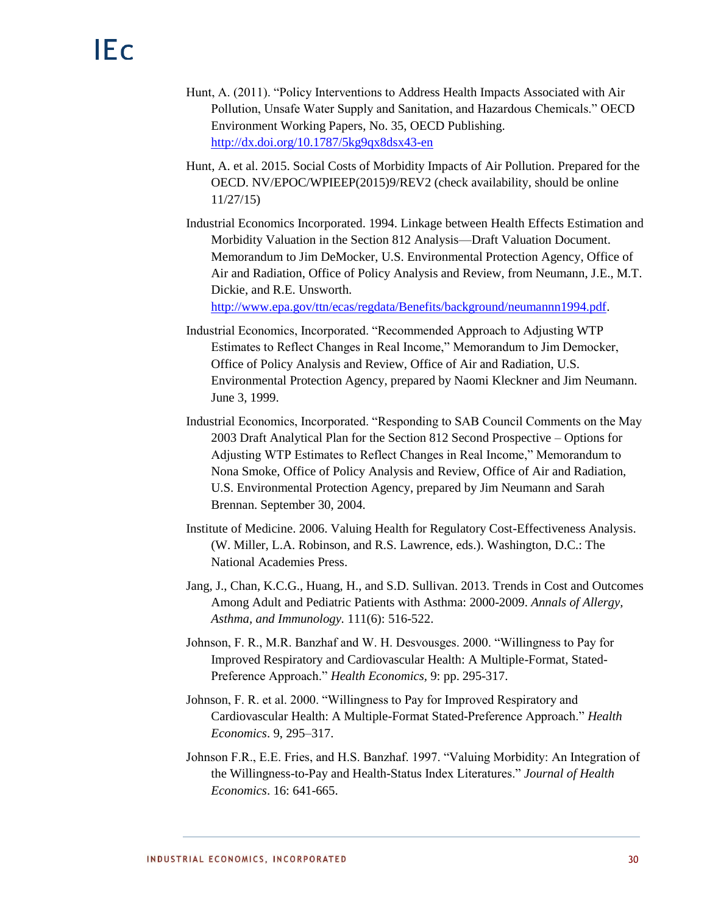- Hunt, A. (2011). "Policy Interventions to Address Health Impacts Associated with Air Pollution, Unsafe Water Supply and Sanitation, and Hazardous Chemicals." OECD Environment Working Papers, No. 35, OECD Publishing. <http://dx.doi.org/10.1787/5kg9qx8dsx43-en>
- Hunt, A. et al. 2015. Social Costs of Morbidity Impacts of Air Pollution. Prepared for the OECD. NV/EPOC/WPIEEP(2015)9/REV2 (check availability, should be online 11/27/15)
- Industrial Economics Incorporated. 1994. Linkage between Health Effects Estimation and Morbidity Valuation in the Section 812 Analysis—Draft Valuation Document. Memorandum to Jim DeMocker, U.S. Environmental Protection Agency, Office of Air and Radiation, Office of Policy Analysis and Review, from Neumann, J.E., M.T. Dickie, and R.E. Unsworth.

[http://www.epa.gov/ttn/ecas/regdata/Benefits/background/neumannn1994.pdf.](http://www.epa.gov/ttn/ecas/regdata/Benefits/background/neumannn1994.pdf)

- Industrial Economics, Incorporated. "Recommended Approach to Adjusting WTP Estimates to Reflect Changes in Real Income," Memorandum to Jim Democker, Office of Policy Analysis and Review, Office of Air and Radiation, U.S. Environmental Protection Agency, prepared by Naomi Kleckner and Jim Neumann. June 3, 1999.
- Industrial Economics, Incorporated. "Responding to SAB Council Comments on the May 2003 Draft Analytical Plan for the Section 812 Second Prospective – Options for Adjusting WTP Estimates to Reflect Changes in Real Income," Memorandum to Nona Smoke, Office of Policy Analysis and Review, Office of Air and Radiation, U.S. Environmental Protection Agency, prepared by Jim Neumann and Sarah Brennan. September 30, 2004.
- Institute of Medicine. 2006. Valuing Health for Regulatory Cost-Effectiveness Analysis. (W. Miller, L.A. Robinson, and R.S. Lawrence, eds.). Washington, D.C.: The National Academies Press.
- Jang, J., Chan, K.C.G., Huang, H., and S.D. Sullivan. 2013. Trends in Cost and Outcomes Among Adult and Pediatric Patients with Asthma: 2000-2009. *Annals of Allergy, Asthma, and Immunology.* 111(6): 516-522.
- Johnson, F. R., M.R. Banzhaf and W. H. Desvousges. 2000. "Willingness to Pay for Improved Respiratory and Cardiovascular Health: A Multiple-Format, Stated-Preference Approach." *Health Economics,* 9: pp. 295-317.
- Johnson, F. R. et al. 2000. "Willingness to Pay for Improved Respiratory and Cardiovascular Health: A Multiple-Format Stated-Preference Approach." *Health Economics*. 9, 295–317.
- Johnson F.R., E.E. Fries, and H.S. Banzhaf. 1997. "Valuing Morbidity: An Integration of the Willingness-to-Pay and Health-Status Index Literatures." *Journal of Health Economics*. 16: 641-665.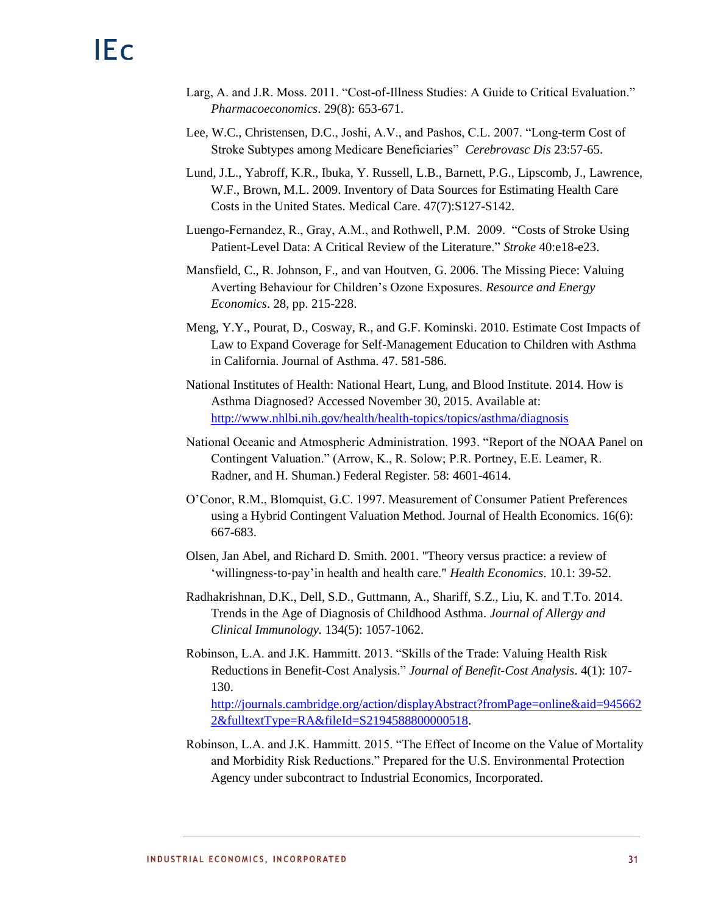- Larg, A. and J.R. Moss. 2011. "Cost-of-Illness Studies: A Guide to Critical Evaluation." *Pharmacoeconomics*. 29(8): 653-671.
- Lee, W.C., Christensen, D.C., Joshi, A.V., and Pashos, C.L. 2007. "Long-term Cost of Stroke Subtypes among Medicare Beneficiaries" *Cerebrovasc Dis* 23:57-65.
- Lund, J.L., Yabroff, K.R., Ibuka, Y. Russell, L.B., Barnett, P.G., Lipscomb, J., Lawrence, W.F., Brown, M.L. 2009. Inventory of Data Sources for Estimating Health Care Costs in the United States. Medical Care. 47(7):S127-S142.
- Luengo-Fernandez, R., Gray, A.M., and Rothwell, P.M. 2009. "Costs of Stroke Using Patient-Level Data: A Critical Review of the Literature." *Stroke* 40:e18-e23.
- Mansfield, C., R. Johnson, F., and van Houtven, G. 2006. The Missing Piece: Valuing Averting Behaviour for Children's Ozone Exposures. *Resource and Energy Economics*. 28, pp. 215-228.
- Meng, Y.Y., Pourat, D., Cosway, R., and G.F. Kominski. 2010. Estimate Cost Impacts of Law to Expand Coverage for Self-Management Education to Children with Asthma in California. Journal of Asthma. 47. 581-586.
- National Institutes of Health: National Heart, Lung, and Blood Institute. 2014. How is Asthma Diagnosed? Accessed November 30, 2015. Available at: <http://www.nhlbi.nih.gov/health/health-topics/topics/asthma/diagnosis>
- National Oceanic and Atmospheric Administration. 1993. "Report of the NOAA Panel on Contingent Valuation." (Arrow, K., R. Solow; P.R. Portney, E.E. Leamer, R. Radner, and H. Shuman.) Federal Register. 58: 4601-4614.
- O'Conor, R.M., Blomquist, G.C. 1997. Measurement of Consumer Patient Preferences using a Hybrid Contingent Valuation Method. Journal of Health Economics. 16(6): 667-683.
- Olsen, Jan Abel, and Richard D. Smith. 2001. "Theory versus practice: a review of 'willingness‐to‐pay'in health and health care." *Health Economics*. 10.1: 39-52.
- Radhakrishnan, D.K., Dell, S.D., Guttmann, A., Shariff, S.Z., Liu, K. and T.To. 2014. Trends in the Age of Diagnosis of Childhood Asthma. *Journal of Allergy and Clinical Immunology.* 134(5): 1057-1062.
- Robinson, L.A. and J.K. Hammitt. 2013. "Skills of the Trade: Valuing Health Risk Reductions in Benefit-Cost Analysis." *Journal of Benefit-Cost Analysis*. 4(1): 107- 130.

[http://journals.cambridge.org/action/displayAbstract?fromPage=online&aid=945662](http://journals.cambridge.org/action/displayAbstract?fromPage=online&aid=9456622&fulltextType=RA&fileId=S2194588800000518) [2&fulltextType=RA&fileId=S2194588800000518.](http://journals.cambridge.org/action/displayAbstract?fromPage=online&aid=9456622&fulltextType=RA&fileId=S2194588800000518)

Robinson, L.A. and J.K. Hammitt. 2015. "The Effect of Income on the Value of Mortality and Morbidity Risk Reductions." Prepared for the U.S. Environmental Protection Agency under subcontract to Industrial Economics, Incorporated.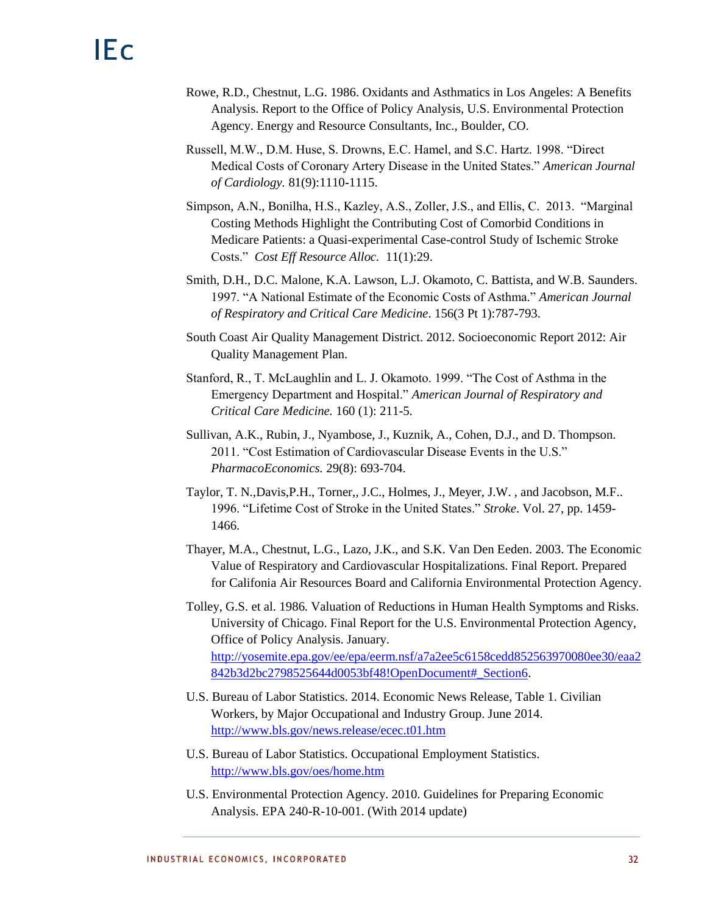- Rowe, R.D., Chestnut, L.G. 1986. Oxidants and Asthmatics in Los Angeles: A Benefits Analysis. Report to the Office of Policy Analysis, U.S. Environmental Protection Agency. Energy and Resource Consultants, Inc., Boulder, CO.
- Russell, M.W., D.M. Huse, S. Drowns, E.C. Hamel, and S.C. Hartz. 1998. "Direct Medical Costs of Coronary Artery Disease in the United States." *American Journal of Cardiology.* 81(9):1110-1115.
- Simpson, A.N., Bonilha, H.S., Kazley, A.S., Zoller, J.S., and Ellis, C. 2013. "Marginal Costing Methods Highlight the Contributing Cost of Comorbid Conditions in Medicare Patients: a Quasi-experimental Case-control Study of Ischemic Stroke Costs." *Cost Eff Resource Alloc.* 11(1):29.
- Smith, D.H., D.C. Malone, K.A. Lawson, L.J. Okamoto, C. Battista, and W.B. Saunders. 1997. "A National Estimate of the Economic Costs of Asthma." *American Journal of Respiratory and Critical Care Medicine*. 156(3 Pt 1):787-793.
- South Coast Air Quality Management District. 2012. Socioeconomic Report 2012: Air Quality Management Plan.
- Stanford, R., T. McLaughlin and L. J. Okamoto. 1999. "The Cost of Asthma in the Emergency Department and Hospital." *American Journal of Respiratory and Critical Care Medicine.* 160 (1): 211-5.
- Sullivan, A.K., Rubin, J., Nyambose, J., Kuznik, A., Cohen, D.J., and D. Thompson. 2011. "Cost Estimation of Cardiovascular Disease Events in the U.S." *PharmacoEconomics.* 29(8): 693-704.
- Taylor, T. N.,Davis,P.H., Torner,, J.C., Holmes, J., Meyer, J.W. , and Jacobson, M.F.. 1996. "Lifetime Cost of Stroke in the United States." *Stroke*. Vol. 27, pp. 1459- 1466.
- Thayer, M.A., Chestnut, L.G., Lazo, J.K., and S.K. Van Den Eeden. 2003. The Economic Value of Respiratory and Cardiovascular Hospitalizations. Final Report. Prepared for Califonia Air Resources Board and California Environmental Protection Agency.
- Tolley, G.S. et al. 1986. Valuation of Reductions in Human Health Symptoms and Risks. University of Chicago. Final Report for the U.S. Environmental Protection Agency, Office of Policy Analysis. January. [http://yosemite.epa.gov/ee/epa/eerm.nsf/a7a2ee5c6158cedd852563970080ee30/eaa2](http://yosemite.epa.gov/ee/epa/eerm.nsf/a7a2ee5c6158cedd852563970080ee30/eaa2842b3d2bc2798525644d0053bf48!OpenDocument#_Section6) [842b3d2bc2798525644d0053bf48!OpenDocument#\\_Section6.](http://yosemite.epa.gov/ee/epa/eerm.nsf/a7a2ee5c6158cedd852563970080ee30/eaa2842b3d2bc2798525644d0053bf48!OpenDocument#_Section6)
- U.S. Bureau of Labor Statistics. 2014. Economic News Release, Table 1. Civilian Workers, by Major Occupational and Industry Group. June 2014. <http://www.bls.gov/news.release/ecec.t01.htm>
- U.S. Bureau of Labor Statistics. Occupational Employment Statistics. <http://www.bls.gov/oes/home.htm>
- U.S. Environmental Protection Agency. 2010. Guidelines for Preparing Economic Analysis. EPA 240-R-10-001. (With 2014 update)